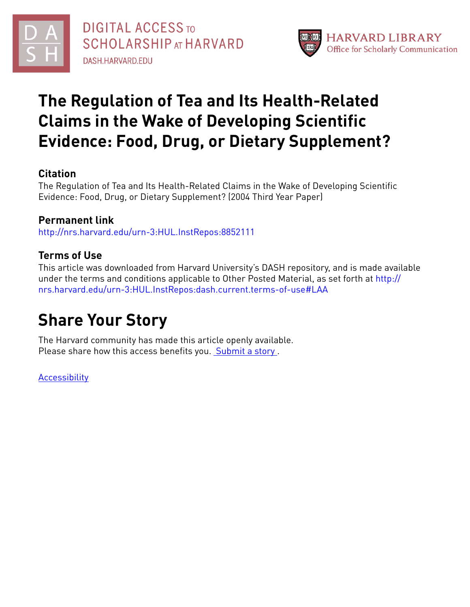

# **The Regulation of Tea and Its Health-Related Claims in the Wake of Developing Scientific Evidence: Food, Drug, or Dietary Supplement?**

### **Citation**

The Regulation of Tea and Its Health-Related Claims in the Wake of Developing Scientific Evidence: Food, Drug, or Dietary Supplement? (2004 Third Year Paper)

### **Permanent link**

<http://nrs.harvard.edu/urn-3:HUL.InstRepos:8852111>

### **Terms of Use**

This article was downloaded from Harvard University's DASH repository, and is made available under the terms and conditions applicable to Other Posted Material, as set forth at [http://](http://nrs.harvard.edu/urn-3:HUL.InstRepos:dash.current.terms-of-use#LAA) [nrs.harvard.edu/urn-3:HUL.InstRepos:dash.current.terms-of-use#LAA](http://nrs.harvard.edu/urn-3:HUL.InstRepos:dash.current.terms-of-use#LAA)

# **Share Your Story**

The Harvard community has made this article openly available. Please share how this access benefits you. [Submit](http://osc.hul.harvard.edu/dash/open-access-feedback?handle=&title=The%20Regulation%20of%20Tea%20and%20Its%20Health-Related%20Claims%20in%20the%20Wake%20of%20Developing%20Scientific%20Evidence:%20Food,%20Drug,%20or%20Dietary%20Supplement?&community=1/7&collection=1/2788313&owningCollection1/2788313&harvardAuthors=5a2b7c5b8b42d18d6d7948b6590ab840&department) a story.

[Accessibility](https://dash.harvard.edu/pages/accessibility)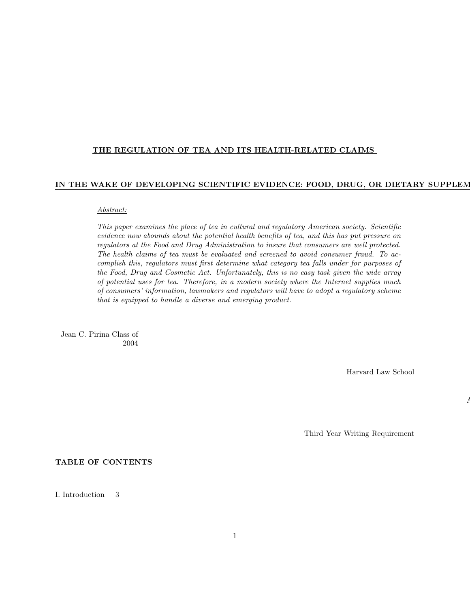#### THE REGULATION OF TEA AND ITS HEALTH-RELATED CLAIMS

#### IN THE WAKE OF DEVELOPING SCIENTIFIC EVIDENCE: FOOD, DRUG, OR DIETARY SUPPLEM

Abstract:

This paper examines the place of tea in cultural and regulatory American society. Scientific evidence now abounds about the potential health benefits of tea, and this has put pressure on regulators at the Food and Drug Administration to insure that consumers are well protected. The health claims of tea must be evaluated and screened to avoid consumer fraud. To accomplish this, regulators must first determine what category tea falls under for purposes of the Food, Drug and Cosmetic Act. Unfortunately, this is no easy task given the wide array of potential uses for tea. Therefore, in a modern society where the Internet supplies much of consumers' information, lawmakers and regulators will have to adopt a regulatory scheme that is equipped to handle a diverse and emerging product.

Jean C. Pirina Class of 2004

Harvard Law School

 $\overline{P}$ 

Third Year Writing Requirement

#### TABLE OF CONTENTS

I. Introduction 3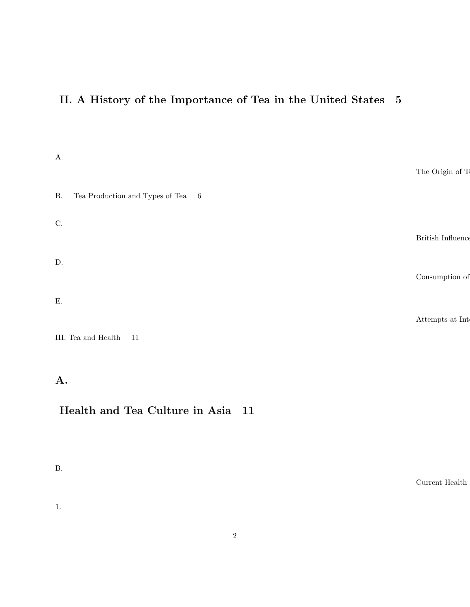## II. A History of the Importance of Tea in the United States 5

| A.              |                                           |                   |
|-----------------|-------------------------------------------|-------------------|
|                 |                                           | The Origin of T   |
|                 |                                           |                   |
| B.              | Tea Production and Types of Tea $\quad$ 6 |                   |
| $\mathrm{C}.$   |                                           |                   |
|                 |                                           | British Influence |
|                 |                                           |                   |
| ${\mathcal D}.$ |                                           |                   |
|                 |                                           | Consumption of    |
| ${\bf E}.$      |                                           |                   |
|                 |                                           | Attempts at Int   |
|                 | $\,$ III. Tea and Health<br>11            |                   |
|                 |                                           |                   |

# A.

1.

# Health and Tea Culture in Asia 11

| <b>B.</b> |                |
|-----------|----------------|
|           | Current Health |
|           |                |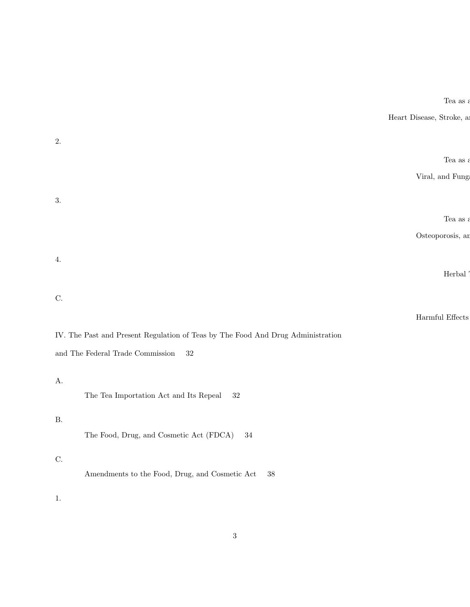Tea as  $\boldsymbol{s}$ Heart Disease, Stroke, a 2. Tea as $\it$ Viral, and Fung 3. Tea as $\boldsymbol{\imath}$ Osteoporosis, an 4.  $\operatorname{Herbal}$ C. Harmful Effects IV. The Past and Present Regulation of Teas by The Food And Drug Administration and The Federal Trade Commission 32 A. The Tea Importation Act and Its Repeal 32 B. The Food, Drug, and Cosmetic Act (FDCA) 34 C.

1.

Amendments to the Food, Drug, and Cosmetic Act 38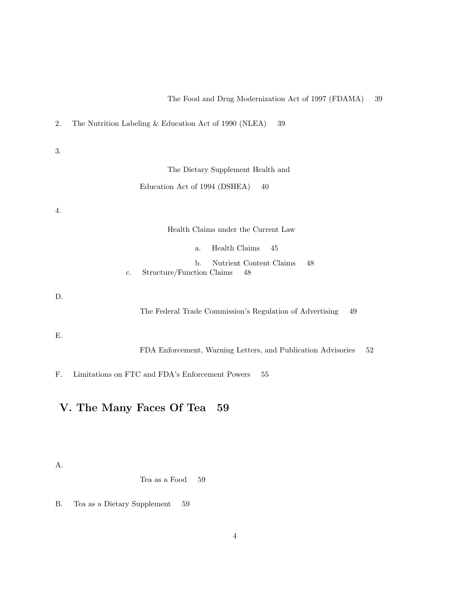| The Food and Drug Modernization Act of 1997 (FDAMA)                                      | $39\,$ |
|------------------------------------------------------------------------------------------|--------|
| The Nutrition Labeling & Education Act of 1990 (NLEA)<br>39                              |        |
|                                                                                          |        |
| The Dietary Supplement Health and                                                        |        |
| Education Act of 1994 (DSHEA)<br>40                                                      |        |
|                                                                                          |        |
| Health Claims under the Current Law                                                      |        |
| Health Claims<br>45<br>a.                                                                |        |
| $\mathbf{b}$ .<br>Nutrient Content Claims<br>48<br>Structure/Function Claims<br>48<br>c. |        |
|                                                                                          |        |
| The Federal Trade Commission's Regulation of Advertising<br>49                           |        |
|                                                                                          |        |
| FDA Enforcement, Warning Letters, and Publication Advisories                             | 52     |
| Limitations on FTC and FDA's Enforcement Powers<br>55                                    |        |
|                                                                                          |        |

## V. The Many Faces Of Tea 59

A.

Tea as a Food $\quad 59$ 

B. Tea as a Dietary Supplement 59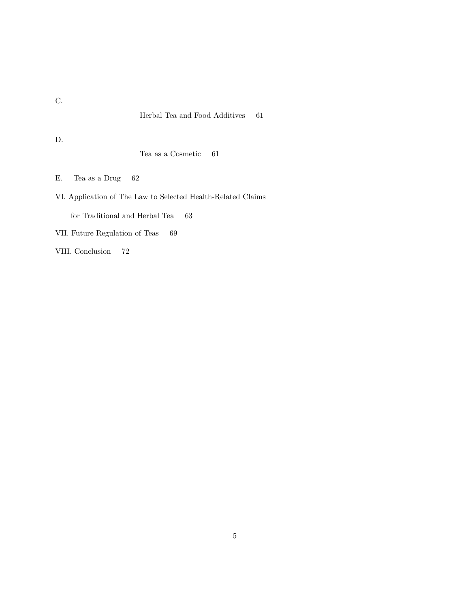C.

### Herbal Tea and Food Additives 61

D.

Tea as a Cosmetic 61

E. Tea as a Drug  $\quad$   $62$ 

VI. Application of The Law to Selected Health-Related Claims

for Traditional and Herbal Tea 63

VII. Future Regulation of Teas 69

VIII. Conclusion 72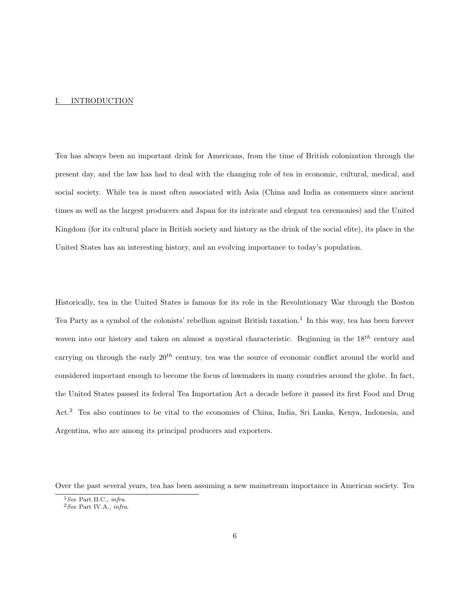#### **INTRODUCTION**

Tea has always been an important drink for Americans, from the time of British colonization through the present day, and the law has had to deal with the changing role of tea in economic, cultural, medical, and social society. While tea is most often associated with Asia (China and India as consumers since ancient times as well as the largest producers and Japan for its intricate and elegant tea ceremonies) and the United Kingdom (for its cultural place in British society and history as the drink of the social elite), its place in the United States has an interesting history, and an evolving importance to today's population.

Historically, tea in the United States is famous for its role in the Revolutionary War through the Boston Tea Party as a symbol of the colonists' rebellion against British taxation.<sup>1</sup> In this way, tea has been forever woven into our history and taken on almost a mystical characteristic. Beginning in the  $18^{th}$  century and carrying on through the early  $20^{th}$  century, tea was the source of economic conflict around the world and considered important enough to become the focus of lawmakers in many countries around the globe. In fact, the United States passed its federal Tea Importation Act a decade before it passed its first Food and Drug Act.<sup>2</sup> Tea also continues to be vital to the economies of China, India, Sri Lanka, Kenya, Indonesia, and Argentina, who are among its principal producers and exporters.

Over the past several years, tea has been assuming a new mainstream importance in American society. Tea

 $1 See$  Part II.C., infra.

 $2$  See Part IV.A., infra.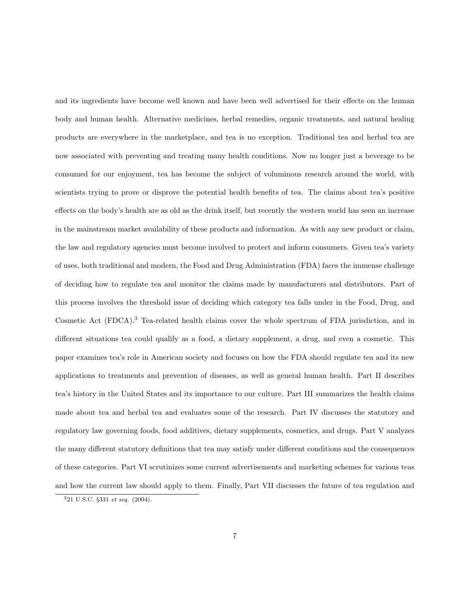and its ingredients have become well known and have been well advertised for their effects on the human body and human health. Alternative medicines, herbal remedies, organic treatments, and natural healing products are everywhere in the marketplace, and tea is no exception. Traditional tea and herbal tea are now associated with preventing and treating many health conditions. Now no longer just a beverage to be consumed for our enjoyment, tea has become the subject of voluminous research around the world, with scientists trying to prove or disprove the potential health benefits of tea. The claims about tea's positive effects on the body's health are as old as the drink itself, but recently the western world has seen an increase in the mainstream market availability of these products and information. As with any new product or claim, the law and regulatory agencies must become involved to protect and inform consumers. Given tea's variety of uses, both traditional and modern, the Food and Drug Administration (FDA) faces the immense challenge of deciding how to regulate tea and monitor the claims made by manufacturers and distributors. Part of this process involves the threshold issue of deciding which category tea falls under in the Food, Drug, and Cosmetic Act (FDCA).<sup>3</sup> Tea-related health claims cover the whole spectrum of FDA jurisdiction, and in different situations tea could qualify as a food, a dietary supplement, a drug, and even a cosmetic. This paper examines tea's role in American society and focuses on how the FDA should regulate tea and its new applications to treatments and prevention of diseases, as well as general human health. Part II describes tea's history in the United States and its importance to our culture. Part III summarizes the health claims made about tea and herbal tea and evaluates some of the research. Part IV discusses the statutory and regulatory law governing foods, food additives, dietary supplements, cosmetics, and drugs. Part V analyzes the many different statutory definitions that tea may satisfy under different conditions and the consequences of these categories. Part VI scrutinizes some current advertisements and marketing schemes for various teas and how the current law should apply to them. Finally, Part VII discusses the future of tea regulation and

 $321$  U.S.C.  $\S 331$  et seq. (2004).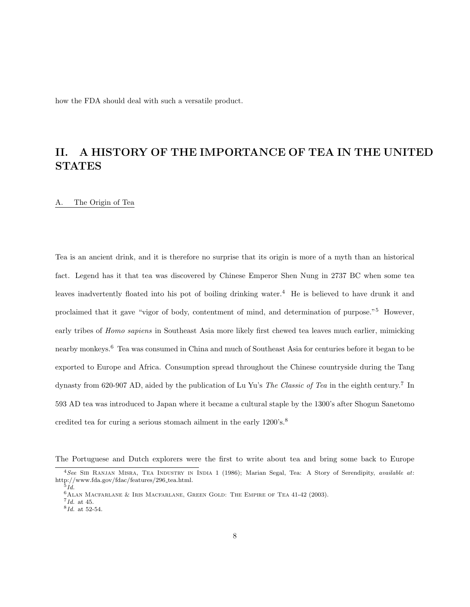how the FDA should deal with such a versatile product.

### II. A HISTORY OF THE IMPORTANCE OF TEA IN THE UNITED **STATES**

#### A. The Origin of Tea

Tea is an ancient drink, and it is therefore no surprise that its origin is more of a myth than an historical fact. Legend has it that tea was discovered by Chinese Emperor Shen Nung in 2737 BC when some tea leaves inadvertently floated into his pot of boiling drinking water.<sup>4</sup> He is believed to have drunk it and proclaimed that it gave "vigor of body, contentment of mind, and determination of purpose."<sup>5</sup> However, early tribes of Homo sapiens in Southeast Asia more likely first chewed tea leaves much earlier, mimicking nearby monkeys.<sup>6</sup> Tea was consumed in China and much of Southeast Asia for centuries before it began to be exported to Europe and Africa. Consumption spread throughout the Chinese countryside during the Tang dynasty from 620-907 AD, aided by the publication of Lu Yu's The Classic of Tea in the eighth century.<sup>7</sup> In 593 AD tea was introduced to Japan where it became a cultural staple by the 1300's after Shogun Sanetomo credited tea for curing a serious stomach ailment in the early 1200's.<sup>8</sup>

The Portuguese and Dutch explorers were the first to write about tea and bring some back to Europe

<sup>4</sup>See Sib Ranjan Misra, Tea Industry in India 1 (1986); Marian Segal, Tea: A Story of Serendipity, available at: http://www.fda.gov/fdac/features/296 tea.html.  $5$   $Id.$ 

<sup>6</sup>Alan Macfarlane & Iris Macfarlane, Green Gold: The Empire of Tea 41-42 (2003).

 $7$ *Id.* at 45.

 $8$  Id. at 52-54.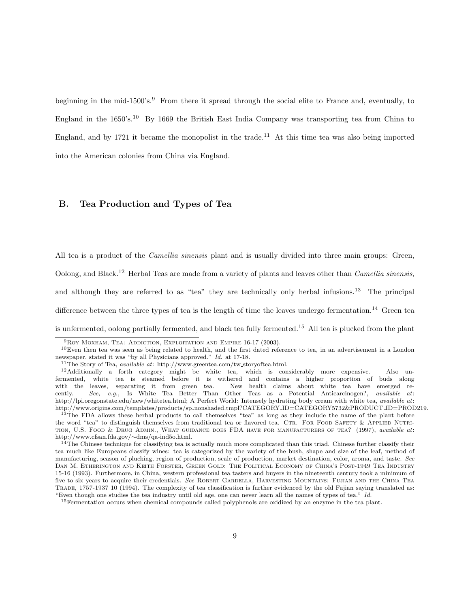beginning in the mid-1500's.<sup>9</sup> From there it spread through the social elite to France and, eventually, to England in the 1650's.<sup>10</sup> By 1669 the British East India Company was transporting tea from China to England, and by 1721 it became the monopolist in the trade.<sup>11</sup> At this time tea was also being imported into the American colonies from China via England.

### B. Tea Production and Types of Tea

All tea is a product of the *Camellia sinensis* plant and is usually divided into three main groups: Green, Oolong, and Black.<sup>12</sup> Herbal Teas are made from a variety of plants and leaves other than *Camellia sinensis*, and although they are referred to as "tea" they are technically only herbal infusions.<sup>13</sup> The principal difference between the three types of tea is the length of time the leaves undergo fermentation.<sup>14</sup> Green tea is unfermented, oolong partially fermented, and black tea fully fermented.<sup>15</sup> All tea is plucked from the plant

<sup>9</sup>Roy Moxham, Tea: Addiction, Exploitation and Empire 16-17 (2003).

<sup>10</sup>Even then tea was seen as being related to health, and the first dated reference to tea, in an advertisement in a London newspaper, stated it was "by all Physicians approved." Id. at 17-18.

<sup>11</sup>The Story of Tea, available at: http://www.greentea.com/tw storyoftea.html.

<sup>&</sup>lt;sup>12</sup>Additionally a forth category might be white tea, which is considerably more expensive. Also unfermented, white tea is steamed before it is withered and contains a higher proportion of buds along with the leaves, separating it from green tea. New health claims about white tea have emerged recently. See, e.g., Is White Tea Better Than Other Teas as a Potential Anticarcinogen?, available at: http://lpi.oregonstate.edu/new/whitetea.html; A Perfect World: Intensely hydrating body cream with white tea, available at: http://www.origins.com/templates/products/sp nonshaded.tmpl?CATEGORY ID=CATEGORY5732&PRODUCT ID=PROD219.

<sup>&</sup>lt;sup>13</sup>The FDA allows these herbal products to call themselves "tea" as long as they include the name of the plant before the word "tea" to distinguish themselves from traditional tea or flavored tea. CTR. FOR FOOD SAFETY & APPLIED NUTRItion, U.S. Food & Drug Admin., What guidance does FDA have for manufacturers of tea? (1997), available at: http://www.cfsan.fda.gov/∼dms/qa-ind5o.html.

 $14$ The Chinese technique for classifying tea is actually much more complicated than this triad. Chinese further classify their tea much like Europeans classify wines: tea is categorized by the variety of the bush, shape and size of the leaf, method of manufacturing, season of plucking, region of production, scale of production, market destination, color, aroma, and taste. See Dan M. Etherington and Keith Forster, Green Gold: The Political Economy of China's Post-1949 Tea Industry 15-16 (1993). Furthermore, in China, western professional tea tasters and buyers in the nineteenth century took a minimum of five to six years to acquire their credentials. See ROBERT GARDELLA, HARVESTING MOUNTAINS: FUJIAN AND THE CHINA TEA Trade, 1757-1937 10 (1994). The complexity of tea classification is further evidenced by the old Fujian saying translated as: "Even though one studies the tea industry until old age, one can never learn all the names of types of tea." Id.

<sup>15</sup>Fermentation occurs when chemical compounds called polyphenols are oxidized by an enzyme in the tea plant.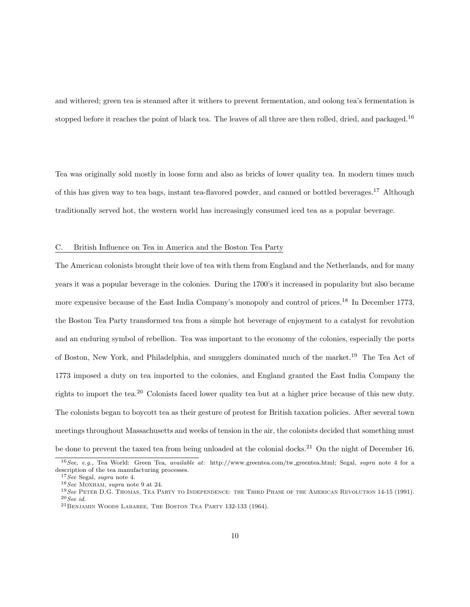and withered; green tea is steamed after it withers to prevent fermentation, and oolong tea's fermentation is stopped before it reaches the point of black tea. The leaves of all three are then rolled, dried, and packaged.<sup>16</sup>

Tea was originally sold mostly in loose form and also as bricks of lower quality tea. In modern times much of this has given way to tea bags, instant tea-flavored powder, and canned or bottled beverages.<sup>17</sup> Although traditionally served hot, the western world has increasingly consumed iced tea as a popular beverage.

#### C. British Influence on Tea in America and the Boston Tea Party

The American colonists brought their love of tea with them from England and the Netherlands, and for many years it was a popular beverage in the colonies. During the 1700's it increased in popularity but also became more expensive because of the East India Company's monopoly and control of prices.<sup>18</sup> In December 1773, the Boston Tea Party transformed tea from a simple hot beverage of enjoyment to a catalyst for revolution and an enduring symbol of rebellion. Tea was important to the economy of the colonies, especially the ports of Boston, New York, and Philadelphia, and smugglers dominated much of the market.<sup>19</sup> The Tea Act of 1773 imposed a duty on tea imported to the colonies, and England granted the East India Company the rights to import the tea.<sup>20</sup> Colonists faced lower quality tea but at a higher price because of this new duty. The colonists began to boycott tea as their gesture of protest for British taxation policies. After several town meetings throughout Massachusetts and weeks of tension in the air, the colonists decided that something must be done to prevent the taxed tea from being unloaded at the colonial docks.<sup>21</sup> On the night of December 16,

 $16$ See, e.g., Tea World: Green Tea, available at: http://www.greentea.com/tw\_greentea.html; Segal, supra note 4 for a description of the tea manufacturing processes.

 $17$ See Segal, supra note 4.

<sup>18</sup>See Moxham, supra note 9 at 24.

<sup>&</sup>lt;sup>19</sup>See Peter D.G. Thomas, Tea Party to Independence: the Third Phase of the American Revolution 14-15 (1991).  $20\,See\ id.$ 

<sup>21</sup>Benjamin Woods Labaree, The Boston Tea Party 132-133 (1964).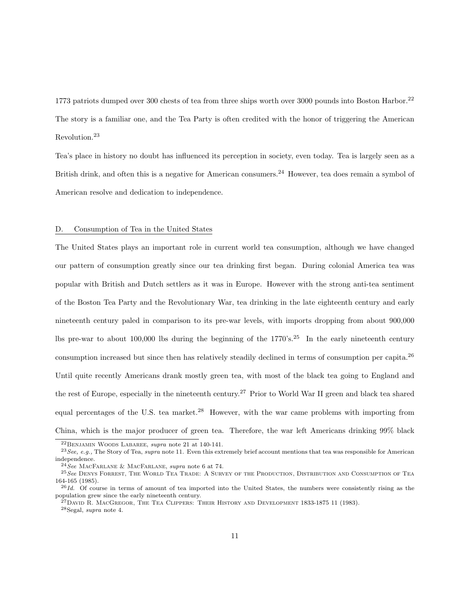1773 patriots dumped over 300 chests of tea from three ships worth over 3000 pounds into Boston Harbor.<sup>22</sup> The story is a familiar one, and the Tea Party is often credited with the honor of triggering the American Revolution.<sup>23</sup>

Tea's place in history no doubt has influenced its perception in society, even today. Tea is largely seen as a British drink, and often this is a negative for American consumers.<sup>24</sup> However, tea does remain a symbol of American resolve and dedication to independence.

#### D. Consumption of Tea in the United States

The United States plays an important role in current world tea consumption, although we have changed our pattern of consumption greatly since our tea drinking first began. During colonial America tea was popular with British and Dutch settlers as it was in Europe. However with the strong anti-tea sentiment of the Boston Tea Party and the Revolutionary War, tea drinking in the late eighteenth century and early nineteenth century paled in comparison to its pre-war levels, with imports dropping from about 900,000 lbs pre-war to about 100,000 lbs during the beginning of the  $1770's$ .<sup>25</sup> In the early nineteenth century consumption increased but since then has relatively steadily declined in terms of consumption per capita.<sup>26</sup> Until quite recently Americans drank mostly green tea, with most of the black tea going to England and the rest of Europe, especially in the nineteenth century.<sup>27</sup> Prior to World War II green and black tea shared equal percentages of the U.S. tea market.<sup>28</sup> However, with the war came problems with importing from China, which is the major producer of green tea. Therefore, the war left Americans drinking 99% black

 $\overline{{}^{22}\text{B}$ enjamin Woods Labaree, supra note 21 at 140-141.

 $23$  See, e.g., The Story of Tea, supra note 11. Even this extremely brief account mentions that tea was responsible for American independence.

 $^{24}See$  MACFARLANE & MACFARLANE, supra note 6 at 74.

<sup>&</sup>lt;sup>25</sup> See DENYS FORREST, THE WORLD TEA TRADE: A SURVEY OF THE PRODUCTION, DISTRIBUTION AND CONSUMPTION OF TEA 164-165 (1985).

 $^{26}$ Id. Of course in terms of amount of tea imported into the United States, the numbers were consistently rising as the population grew since the early nineteenth century.

<sup>27</sup>David R. MacGregor, The Tea Clippers: Their History and Development 1833-1875 11 (1983). <sup>28</sup>Segal, supra note 4.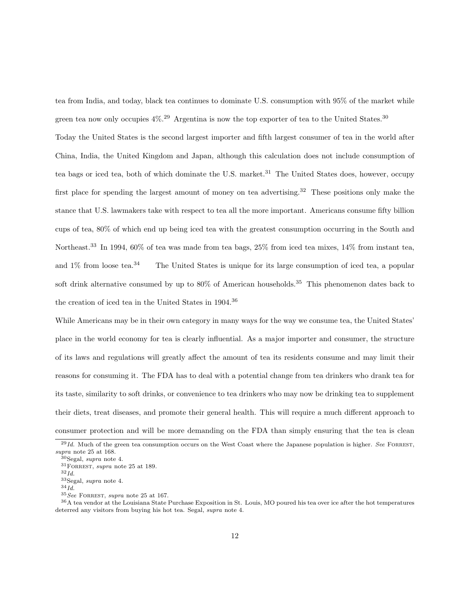tea from India, and today, black tea continues to dominate U.S. consumption with 95% of the market while green tea now only occupies  $4\%$ <sup>29</sup> Argentina is now the top exporter of tea to the United States.<sup>30</sup> Today the United States is the second largest importer and fifth largest consumer of tea in the world after China, India, the United Kingdom and Japan, although this calculation does not include consumption of tea bags or iced tea, both of which dominate the U.S. market.<sup>31</sup> The United States does, however, occupy first place for spending the largest amount of money on tea advertising.<sup>32</sup> These positions only make the stance that U.S. lawmakers take with respect to tea all the more important. Americans consume fifty billion cups of tea, 80% of which end up being iced tea with the greatest consumption occurring in the South and Northeast.<sup>33</sup> In 1994, 60% of tea was made from tea bags, 25% from iced tea mixes, 14% from instant tea, and  $1\%$  from loose tea.<sup>34</sup> The United States is unique for its large consumption of iced tea, a popular soft drink alternative consumed by up to  $80\%$  of American households.<sup>35</sup> This phenomenon dates back to the creation of iced tea in the United States in 1904.<sup>36</sup>

While Americans may be in their own category in many ways for the way we consume tea, the United States' place in the world economy for tea is clearly influential. As a major importer and consumer, the structure of its laws and regulations will greatly affect the amount of tea its residents consume and may limit their reasons for consuming it. The FDA has to deal with a potential change from tea drinkers who drank tea for its taste, similarity to soft drinks, or convenience to tea drinkers who may now be drinking tea to supplement their diets, treat diseases, and promote their general health. This will require a much different approach to consumer protection and will be more demanding on the FDA than simply ensuring that the tea is clean

 $34$ Id.

 $^{29}$ Id. Much of the green tea consumption occurs on the West Coast where the Japanese population is higher. See FORREST, supra note 25 at 168.

 $30$ Segal, supra note 4.

 $^{31}$  FORREST, supra note 25 at 189.

 $32$   $Id.$ 

 $\rm{^{33}Segal},$   $\it{supra}$  note 4.

 $^{35}See$  FORREST,  $supra$  note 25 at 167.

<sup>&</sup>lt;sup>36</sup>A tea vendor at the Louisiana State Purchase Exposition in St. Louis, MO poured his tea over ice after the hot temperatures deterred any visitors from buying his hot tea. Segal, supra note 4.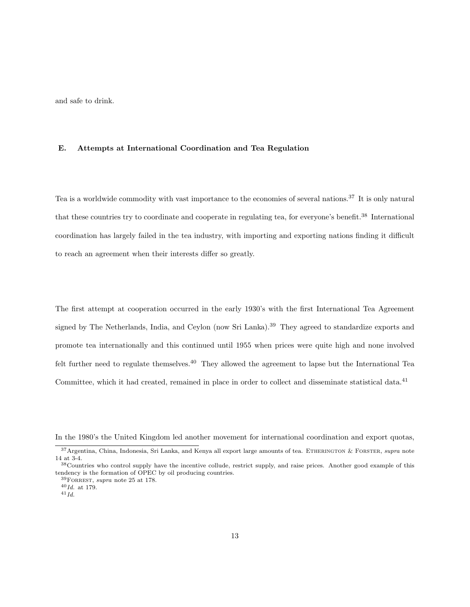and safe to drink.

### E. Attempts at International Coordination and Tea Regulation

Tea is a worldwide commodity with vast importance to the economies of several nations.<sup>37</sup> It is only natural that these countries try to coordinate and cooperate in regulating tea, for everyone's benefit.<sup>38</sup> International coordination has largely failed in the tea industry, with importing and exporting nations finding it difficult to reach an agreement when their interests differ so greatly.

The first attempt at cooperation occurred in the early 1930's with the first International Tea Agreement signed by The Netherlands, India, and Ceylon (now Sri Lanka).<sup>39</sup> They agreed to standardize exports and promote tea internationally and this continued until 1955 when prices were quite high and none involved felt further need to regulate themselves.<sup>40</sup> They allowed the agreement to lapse but the International Tea Committee, which it had created, remained in place in order to collect and disseminate statistical data.<sup>41</sup>

In the 1980's the United Kingdom led another movement for international coordination and export quotas,

 $37$ Argentina, China, Indonesia, Sri Lanka, and Kenya all export large amounts of tea. ETHERINGTON & FORSTER, supra note 14 at 3-4.

<sup>&</sup>lt;sup>38</sup>Countries who control supply have the incentive collude, restrict supply, and raise prices. Another good example of this tendency is the formation of OPEC by oil producing countries.

 $39$ FORREST, supra note 25 at 178.  $^{40}$ Id. at 179.

 $41$   $Id.$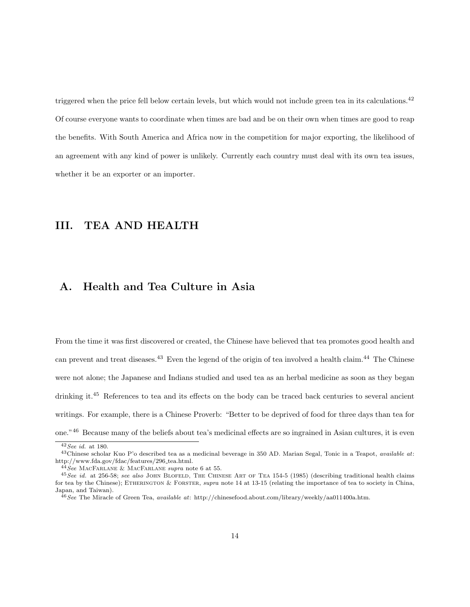triggered when the price fell below certain levels, but which would not include green tea in its calculations.<sup>42</sup> Of course everyone wants to coordinate when times are bad and be on their own when times are good to reap the benefits. With South America and Africa now in the competition for major exporting, the likelihood of an agreement with any kind of power is unlikely. Currently each country must deal with its own tea issues, whether it be an exporter or an importer.

### III. TEA AND HEALTH

### A. Health and Tea Culture in Asia

From the time it was first discovered or created, the Chinese have believed that tea promotes good health and can prevent and treat diseases.<sup>43</sup> Even the legend of the origin of tea involved a health claim.<sup>44</sup> The Chinese were not alone; the Japanese and Indians studied and used tea as an herbal medicine as soon as they began drinking it.<sup>45</sup> References to tea and its effects on the body can be traced back centuries to several ancient writings. For example, there is a Chinese Proverb: "Better to be deprived of food for three days than tea for one."<sup>46</sup> Because many of the beliefs about tea's medicinal effects are so ingrained in Asian cultures, it is even

 $42$  See id. at 180.

 $^{43}$ Chinese scholar Kuo P'o described tea as a medicinal beverage in 350 AD. Marian Segal, Tonic in a Teapot, *available at*: http://www.fda.gov/fdac/features/296 tea.html.

 $^{44}$ See MACFARLANE & MACFARLANE supra note 6 at 55.

<sup>&</sup>lt;sup>45</sup>See id. at 256-58; see also JOHN BLOFELD, THE CHINESE ART OF TEA 154-5 (1985) (describing traditional health claims for tea by the Chinese); ETHERINGTON & FORSTER, supra note 14 at 13-15 (relating the importance of tea to society in China, Japan, and Taiwan).

 $^{46}$ See The Miracle of Green Tea, available at: http://chinesefood.about.com/library/weekly/aa011400a.htm.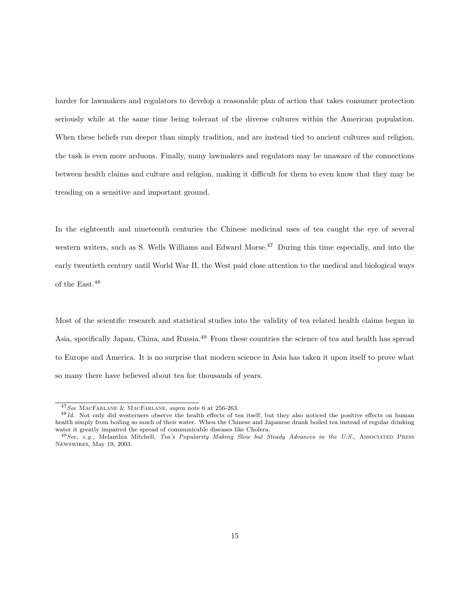harder for lawmakers and regulators to develop a reasonable plan of action that takes consumer protection seriously while at the same time being tolerant of the diverse cultures within the American population. When these beliefs run deeper than simply tradition, and are instead tied to ancient cultures and religion, the task is even more arduous. Finally, many lawmakers and regulators may be unaware of the connections between health claims and culture and religion, making it difficult for them to even know that they may be treading on a sensitive and important ground.

In the eighteenth and nineteenth centuries the Chinese medicinal uses of tea caught the eye of several western writers, such as S. Wells Williams and Edward Morse.<sup>47</sup> During this time especially, and into the early twentieth century until World War II, the West paid close attention to the medical and biological ways of the East.<sup>48</sup>

Most of the scientific research and statistical studies into the validity of tea related health claims began in Asia, specifically Japan, China, and Russia.<sup>49</sup> From these countries the science of tea and health has spread to Europe and America. It is no surprise that modern science in Asia has taken it upon itself to prove what so many there have believed about tea for thousands of years.

<sup>47</sup>See MacFarlane & MacFarlane, supra note 6 at 256-263.

 $^{48}$ Id. Not only did westerners observe the health effects of tea itself, but they also noticed the positive effects on human health simply from boiling so much of their water. When the Chinese and Japanese drank boiled tea instead of regular drinking water it greatly impaired the spread of communicable diseases like Cholera.

 $^{49}$ See, e.g., Melanthia Mitchell, Tea's Popularity Making Slow but Steady Advances in the U.S., Associated Press Newswires, May 19, 2003.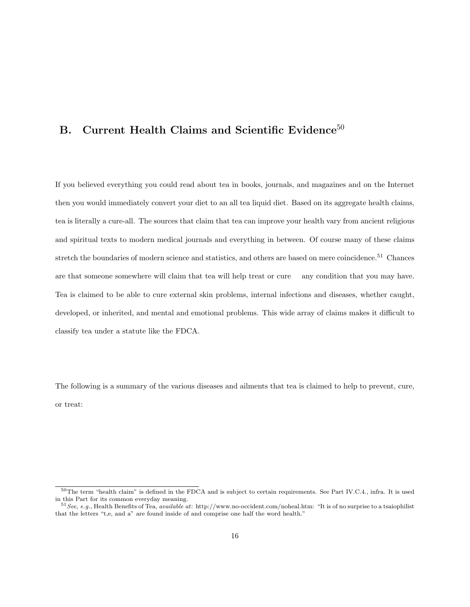### B. Current Health Claims and Scientific Evidence<sup>50</sup>

If you believed everything you could read about tea in books, journals, and magazines and on the Internet then you would immediately convert your diet to an all tea liquid diet. Based on its aggregate health claims, tea is literally a cure-all. The sources that claim that tea can improve your health vary from ancient religious and spiritual texts to modern medical journals and everything in between. Of course many of these claims stretch the boundaries of modern science and statistics, and others are based on mere coincidence.<sup>51</sup> Chances are that someone somewhere will claim that tea will help treat or cure any condition that you may have. Tea is claimed to be able to cure external skin problems, internal infections and diseases, whether caught, developed, or inherited, and mental and emotional problems. This wide array of claims makes it difficult to classify tea under a statute like the FDCA.

The following is a summary of the various diseases and ailments that tea is claimed to help to prevent, cure, or treat:

<sup>50</sup>The term "health claim" is defined in the FDCA and is subject to certain requirements. See Part IV.C.4., infra. It is used in this Part for its common everyday meaning.

 $51$  See, e.g., Health Benefits of Tea, *available at*: http://www.no-occident.com/noheal.htm: "It is of no surprise to a tsaiophilist that the letters "t,e, and a" are found inside of and comprise one half the word health."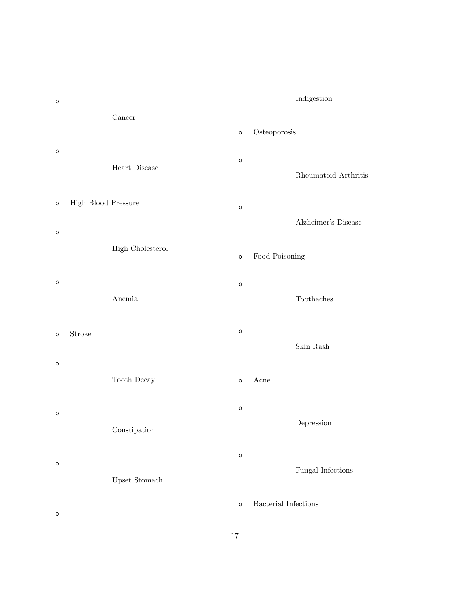| o            |                            |                         |              | $\label{eq:indigest} \textbf{Indigestion}$ |
|--------------|----------------------------|-------------------------|--------------|--------------------------------------------|
|              |                            | Cancer                  |              |                                            |
|              |                            |                         | $\mathsf{o}$ | Osteoporosis                               |
| $\mathsf{o}$ |                            |                         | $\circ$      |                                            |
|              |                            | Heart Disease           |              | Rheumatoid Arthritis                       |
| $\mathsf{o}$ | <b>High Blood Pressure</b> |                         |              |                                            |
|              |                            |                         | $\circ$      | Alzheimer's Disease                        |
| $\mathsf{o}$ |                            |                         |              |                                            |
|              |                            | <b>High Cholesterol</b> | $\mathsf{o}$ | Food Poisoning                             |
| $\circ$      |                            |                         | $\circ$      |                                            |
|              |                            | Anemia                  |              | ${\rm Toothaches}$                         |
|              |                            |                         |              |                                            |
| $\mathsf{o}$ | Stroke                     |                         | $\circ$      |                                            |
| $\mathsf{o}$ |                            |                         |              | Skin Rash                                  |
|              |                            |                         |              |                                            |
|              |                            | Tooth Decay             | $\circ$      | Acne                                       |
|              |                            |                         |              |                                            |
| o            |                            |                         | $\circ$      |                                            |
|              |                            | Constipation            |              | Depression                                 |
| o            |                            |                         | $\circ$      |                                            |
|              |                            | Upset Stomach           |              | Fungal Infections                          |
|              |                            |                         | $\mathsf{o}$ | Bacterial Infections                       |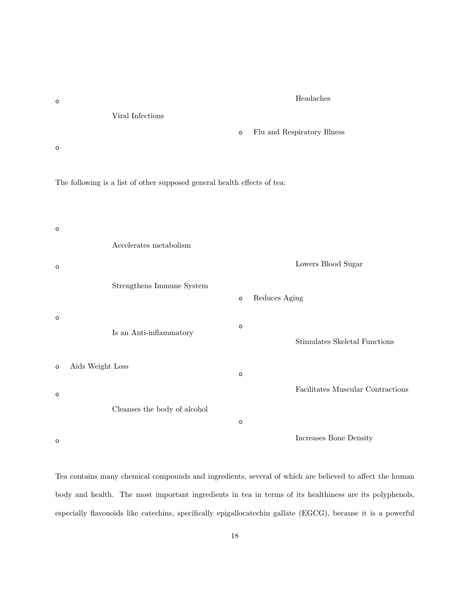| $\mathsf{o}$ |                                                                          | $\rm Headaches$ |                                   |  |
|--------------|--------------------------------------------------------------------------|-----------------|-----------------------------------|--|
|              | Viral Infections                                                         |                 |                                   |  |
|              |                                                                          | $\mathsf{o}$    | Flu and Respiratory Illness       |  |
| $\circ$      |                                                                          |                 |                                   |  |
|              | The following is a list of other supposed general health effects of tea: |                 |                                   |  |
|              |                                                                          |                 |                                   |  |
| $\mathsf{o}$ |                                                                          |                 |                                   |  |
|              | Accelerates metabolism                                                   |                 |                                   |  |
| $\circ$      |                                                                          |                 | Lowers Blood Sugar                |  |
|              | Strengthens Immune System                                                | $\circ$         | Reduces Aging                     |  |
| $\circ$      |                                                                          |                 |                                   |  |
|              | Is an Anti-inflammatory                                                  | $\circ$         | Stimulates Skeletal Functions     |  |
|              |                                                                          |                 |                                   |  |
| $\mathsf{o}$ | Aids Weight Loss                                                         | $\mathsf{o}$    |                                   |  |
| $\circ$      |                                                                          |                 | Facilitates Muscular Contractions |  |
|              | Cleanses the body of alcohol $\,$                                        | $\mathsf{o}$    |                                   |  |
| $\mathsf{o}$ |                                                                          |                 | Increases Bone Density            |  |
|              |                                                                          |                 |                                   |  |

Tea contains many chemical compounds and ingredients, several of which are believed to affect the human body and health. The most important ingredients in tea in terms of its healthiness are its polyphenols, especially flavonoids like catechins, specifically epigallocatechin gallate (EGCG), because it is a powerful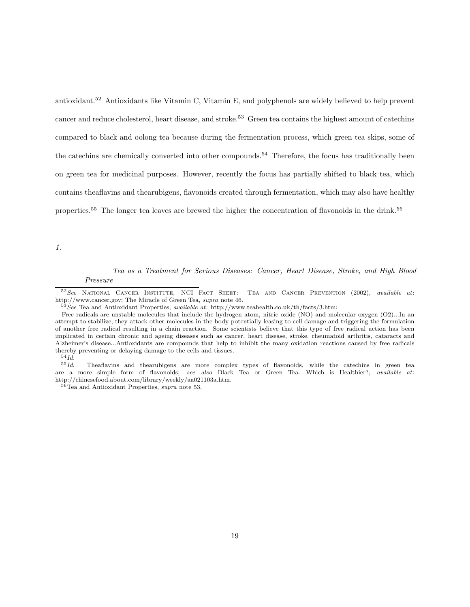antioxidant.<sup>52</sup> Antioxidants like Vitamin C, Vitamin E, and polyphenols are widely believed to help prevent cancer and reduce cholesterol, heart disease, and stroke.<sup>53</sup> Green tea contains the highest amount of catechins compared to black and oolong tea because during the fermentation process, which green tea skips, some of the catechins are chemically converted into other compounds.<sup>54</sup> Therefore, the focus has traditionally been on green tea for medicinal purposes. However, recently the focus has partially shifted to black tea, which contains theaflavins and thearubigens, flavonoids created through fermentation, which may also have healthy properties.<sup>55</sup> The longer tea leaves are brewed the higher the concentration of flavonoids in the drink.<sup>56</sup>

1.

Tea as a Treatment for Serious Diseases: Cancer, Heart Disease, Stroke, and High Blood Pressure

<sup>52</sup> See NATIONAL CANCER INSTITUTE, NCI FACT SHEET: TEA AND CANCER PREVENTION (2002), available at: http://www.cancer.gov; The Miracle of Green Tea, supra note 46.

 $53 \text{ See}$  Tea and Antioxidant Properties, *available at:* http://www.teahealth.co.uk/th/facts/3.htm:

Free radicals are unstable molecules that include the hydrogen atom, nitric oxide (NO) and molecular oxygen (O2)...In an attempt to stabilize, they attack other molecules in the body potentially leasing to cell damage and triggering the formulation of another free radical resulting in a chain reaction. Some scientists believe that this type of free radical action has been implicated in certain chronic and ageing diseases such as cancer, heart disease, stroke, rheumatoid arthritis, cataracts and Alzheimer's disease...Antioxidants are compounds that help to inhibit the many oxidation reactions caused by free radicals thereby preventing or delaying damage to the cells and tissues.

 $\frac{54}{55}$ *Id.* 

<sup>55</sup>Id. Theaflavins and thearubigens are more complex types of flavonoids, while the catechins in green tea are a more simple form of flavonoids; see also Black Tea or Green Tea- Which is Healthier?, available at: http://chinesefood.about.com/library/weekly/aa021103a.htm.

 $56$ Tea and Antioxidant Properties, supra note 53.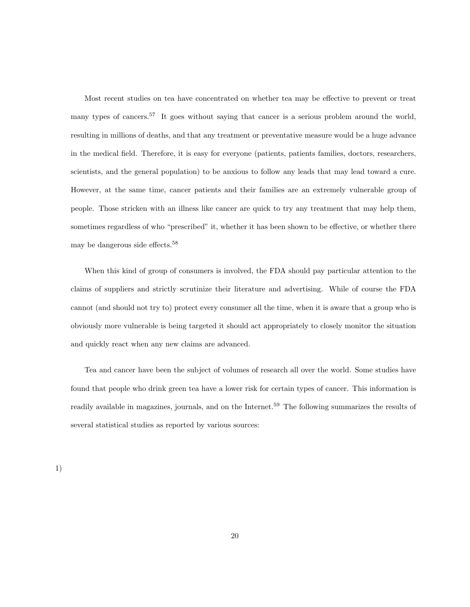Most recent studies on tea have concentrated on whether tea may be effective to prevent or treat many types of cancers.<sup>57</sup> It goes without saying that cancer is a serious problem around the world, resulting in millions of deaths, and that any treatment or preventative measure would be a huge advance in the medical field. Therefore, it is easy for everyone (patients, patients families, doctors, researchers, scientists, and the general population) to be anxious to follow any leads that may lead toward a cure. However, at the same time, cancer patients and their families are an extremely vulnerable group of people. Those stricken with an illness like cancer are quick to try any treatment that may help them, sometimes regardless of who "prescribed" it, whether it has been shown to be effective, or whether there may be dangerous side effects.<sup>58</sup>

When this kind of group of consumers is involved, the FDA should pay particular attention to the claims of suppliers and strictly scrutinize their literature and advertising. While of course the FDA cannot (and should not try to) protect every consumer all the time, when it is aware that a group who is obviously more vulnerable is being targeted it should act appropriately to closely monitor the situation and quickly react when any new claims are advanced.

Tea and cancer have been the subject of volumes of research all over the world. Some studies have found that people who drink green tea have a lower risk for certain types of cancer. This information is readily available in magazines, journals, and on the Internet.<sup>59</sup> The following summarizes the results of several statistical studies as reported by various sources:

1)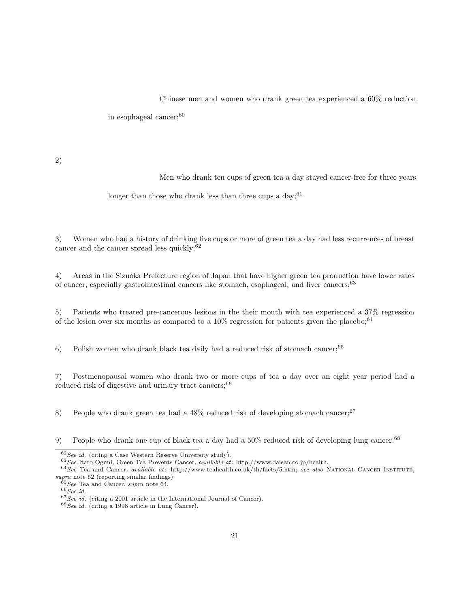Chinese men and women who drank green tea experienced a 60% reduction

in esophageal cancer;<sup>60</sup>

2)

Men who drank ten cups of green tea a day stayed cancer-free for three years

longer than those who drank less than three cups a day;  $61$ 

3) Women who had a history of drinking five cups or more of green tea a day had less recurrences of breast cancer and the cancer spread less quickly; $62$ 

4) Areas in the Sizuoka Prefecture region of Japan that have higher green tea production have lower rates of cancer, especially gastrointestinal cancers like stomach, esophageal, and liver cancers;<sup>63</sup>

5) Patients who treated pre-cancerous lesions in the their mouth with tea experienced a 37% regression of the lesion over six months as compared to a  $10\%$  regression for patients given the placebo;<sup>64</sup>

6) Polish women who drank black tea daily had a reduced risk of stomach cancer;<sup>65</sup>

7) Postmenopausal women who drank two or more cups of tea a day over an eight year period had a reduced risk of digestive and urinary tract cancers;<sup>66</sup>

8) People who drank green tea had a 48% reduced risk of developing stomach cancer;<sup>67</sup>

9) People who drank one cup of black tea a day had a 50% reduced risk of developing lung cancer.<sup>68</sup>

 $64$ See Tea and Cancer, available at: http://www.teahealth.co.uk/th/facts/5.htm; see also NATIONAL CANCER INSTITUTE, supra note 52 (reporting similar findings).

 $62 \, See \, id.$  (citing a Case Western Reserve University study).

<sup>63</sup>See Itaro Oguni, Green Tea Prevents Cancer, available at: http://www.daisan.co.jp/health.

 $65$  See Tea and Cancer, supra note 64.

 $^{66}See$ id.

 $67$  See id. (citing a 2001 article in the International Journal of Cancer).

 $68$  See id. (citing a 1998 article in Lung Cancer).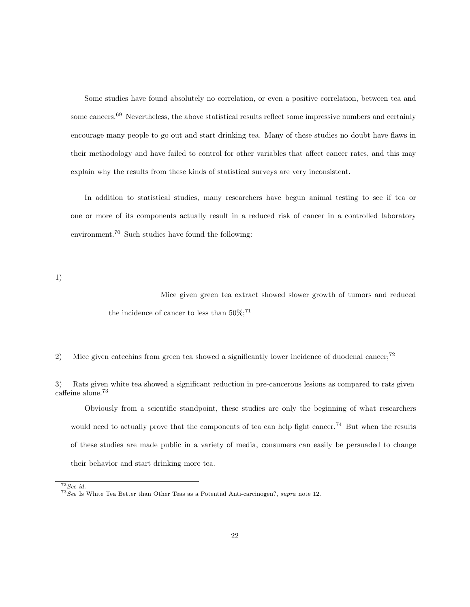Some studies have found absolutely no correlation, or even a positive correlation, between tea and some cancers.<sup>69</sup> Nevertheless, the above statistical results reflect some impressive numbers and certainly encourage many people to go out and start drinking tea. Many of these studies no doubt have flaws in their methodology and have failed to control for other variables that affect cancer rates, and this may explain why the results from these kinds of statistical surveys are very inconsistent.

In addition to statistical studies, many researchers have begun animal testing to see if tea or one or more of its components actually result in a reduced risk of cancer in a controlled laboratory environment.<sup>70</sup> Such studies have found the following:

1)

Mice given green tea extract showed slower growth of tumors and reduced the incidence of cancer to less than  $50\%;$ <sup>71</sup>

2) Mice given catechins from green tea showed a significantly lower incidence of duodenal cancer;<sup>72</sup>

3) Rats given white tea showed a significant reduction in pre-cancerous lesions as compared to rats given caffeine alone.<sup>73</sup>

Obviously from a scientific standpoint, these studies are only the beginning of what researchers would need to actually prove that the components of tea can help fight cancer.<sup>74</sup> But when the results of these studies are made public in a variety of media, consumers can easily be persuaded to change their behavior and start drinking more tea.

 $72$  See id.

<sup>73</sup>See Is White Tea Better than Other Teas as a Potential Anti-carcinogen?, supra note 12.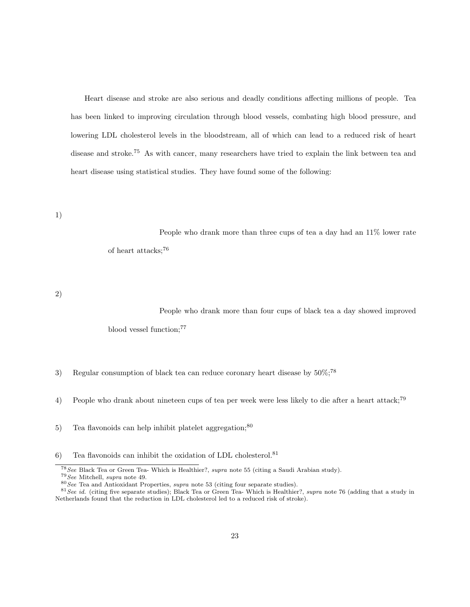Heart disease and stroke are also serious and deadly conditions affecting millions of people. Tea has been linked to improving circulation through blood vessels, combating high blood pressure, and lowering LDL cholesterol levels in the bloodstream, all of which can lead to a reduced risk of heart disease and stroke.<sup>75</sup> As with cancer, many researchers have tried to explain the link between tea and heart disease using statistical studies. They have found some of the following:

1)

People who drank more than three cups of tea a day had an 11% lower rate of heart attacks;<sup>76</sup>

2)

People who drank more than four cups of black tea a day showed improved blood vessel function;<sup>77</sup>

3) Regular consumption of black tea can reduce coronary heart disease by  $50\%$ ;<sup>78</sup>

4) People who drank about nineteen cups of tea per week were less likely to die after a heart attack;<sup>79</sup>

5) Tea flavonoids can help inhibit platelet aggregation; $80$ 

6) Tea flavonoids can inhibit the oxidation of LDL cholesterol.<sup>81</sup>

<sup>78</sup>See Black Tea or Green Tea- Which is Healthier?, supra note 55 (citing a Saudi Arabian study).

 $^{79}See$  Mitchell,  $supra$  note 49.

 $80\,$ See Tea and Antioxidant Properties, supra note 53 (citing four separate studies).

 $81$  See id. (citing five separate studies); Black Tea or Green Tea- Which is Healthier?, supra note 76 (adding that a study in Netherlands found that the reduction in LDL cholesterol led to a reduced risk of stroke).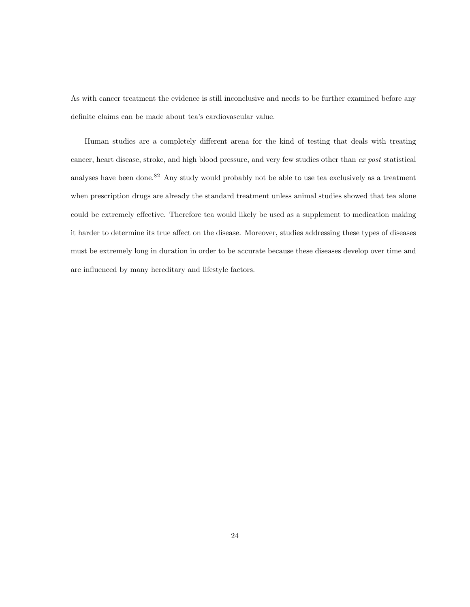As with cancer treatment the evidence is still inconclusive and needs to be further examined before any definite claims can be made about tea's cardiovascular value.

Human studies are a completely different arena for the kind of testing that deals with treating cancer, heart disease, stroke, and high blood pressure, and very few studies other than ex post statistical analyses have been done.<sup>82</sup> Any study would probably not be able to use tea exclusively as a treatment when prescription drugs are already the standard treatment unless animal studies showed that tea alone could be extremely effective. Therefore tea would likely be used as a supplement to medication making it harder to determine its true affect on the disease. Moreover, studies addressing these types of diseases must be extremely long in duration in order to be accurate because these diseases develop over time and are influenced by many hereditary and lifestyle factors.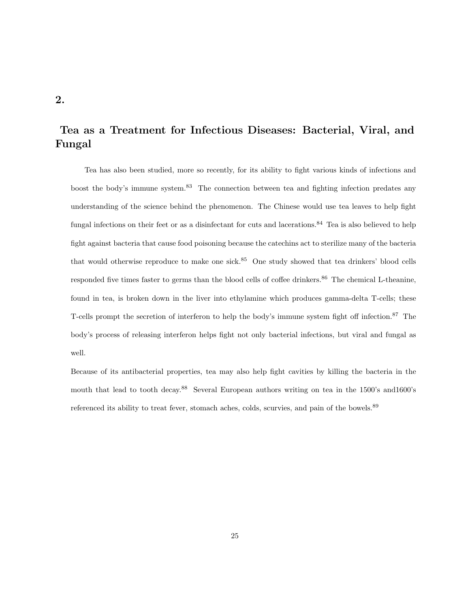### Tea as a Treatment for Infectious Diseases: Bacterial, Viral, and Fungal

Tea has also been studied, more so recently, for its ability to fight various kinds of infections and boost the body's immune system.<sup>83</sup> The connection between tea and fighting infection predates any understanding of the science behind the phenomenon. The Chinese would use tea leaves to help fight fungal infections on their feet or as a disinfectant for cuts and lacerations.<sup>84</sup> Tea is also believed to help fight against bacteria that cause food poisoning because the catechins act to sterilize many of the bacteria that would otherwise reproduce to make one sick.<sup>85</sup> One study showed that tea drinkers' blood cells responded five times faster to germs than the blood cells of coffee drinkers.<sup>86</sup> The chemical L-theanine, found in tea, is broken down in the liver into ethylamine which produces gamma-delta T-cells; these T-cells prompt the secretion of interferon to help the body's immune system fight off infection.<sup>87</sup> The body's process of releasing interferon helps fight not only bacterial infections, but viral and fungal as well.

Because of its antibacterial properties, tea may also help fight cavities by killing the bacteria in the mouth that lead to tooth decay.<sup>88</sup> Several European authors writing on tea in the 1500's and1600's referenced its ability to treat fever, stomach aches, colds, scurvies, and pain of the bowels.<sup>89</sup>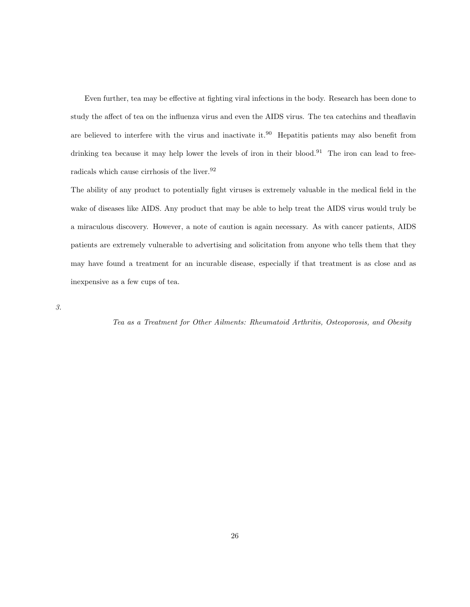Even further, tea may be effective at fighting viral infections in the body. Research has been done to study the affect of tea on the influenza virus and even the AIDS virus. The tea catechins and theaflavin are believed to interfere with the virus and inactivate it.<sup>90</sup> Hepatitis patients may also benefit from drinking tea because it may help lower the levels of iron in their blood.<sup>91</sup> The iron can lead to freeradicals which cause cirrhosis of the liver.<sup>92</sup>

The ability of any product to potentially fight viruses is extremely valuable in the medical field in the wake of diseases like AIDS. Any product that may be able to help treat the AIDS virus would truly be a miraculous discovery. However, a note of caution is again necessary. As with cancer patients, AIDS patients are extremely vulnerable to advertising and solicitation from anyone who tells them that they may have found a treatment for an incurable disease, especially if that treatment is as close and as inexpensive as a few cups of tea.

3.

Tea as a Treatment for Other Ailments: Rheumatoid Arthritis, Osteoporosis, and Obesity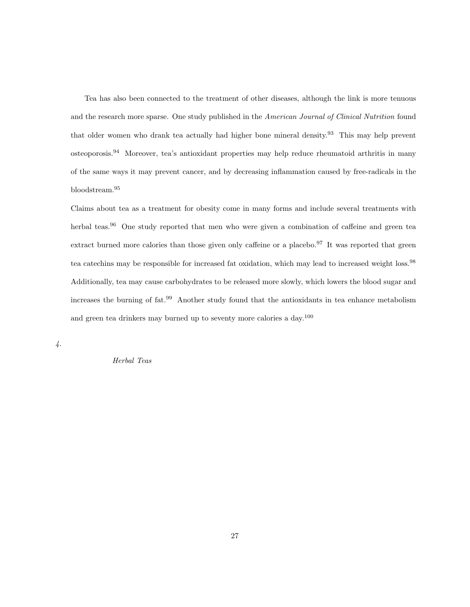Tea has also been connected to the treatment of other diseases, although the link is more tenuous and the research more sparse. One study published in the American Journal of Clinical Nutrition found that older women who drank tea actually had higher bone mineral density.<sup>93</sup> This may help prevent osteoporosis.<sup>94</sup> Moreover, tea's antioxidant properties may help reduce rheumatoid arthritis in many of the same ways it may prevent cancer, and by decreasing inflammation caused by free-radicals in the bloodstream.<sup>95</sup>

Claims about tea as a treatment for obesity come in many forms and include several treatments with herbal teas.<sup>96</sup> One study reported that men who were given a combination of caffeine and green tea extract burned more calories than those given only caffeine or a placebo.<sup>97</sup> It was reported that green tea catechins may be responsible for increased fat oxidation, which may lead to increased weight loss.<sup>98</sup> Additionally, tea may cause carbohydrates to be released more slowly, which lowers the blood sugar and increases the burning of fat.<sup>99</sup> Another study found that the antioxidants in tea enhance metabolism and green tea drinkers may burned up to seventy more calories a day.<sup>100</sup>

4.

#### Herbal Teas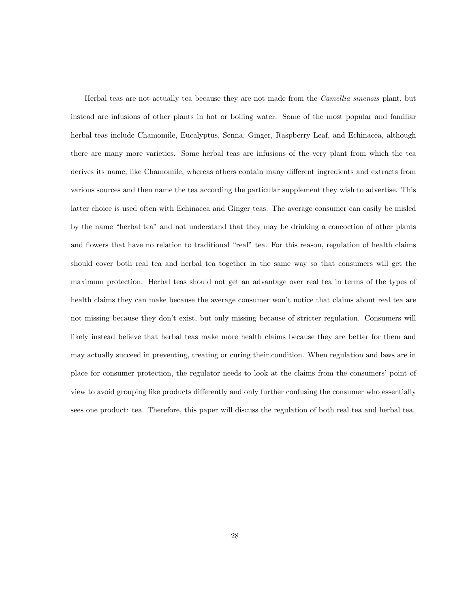Herbal teas are not actually tea because they are not made from the Camellia sinensis plant, but instead are infusions of other plants in hot or boiling water. Some of the most popular and familiar herbal teas include Chamomile, Eucalyptus, Senna, Ginger, Raspberry Leaf, and Echinacea, although there are many more varieties. Some herbal teas are infusions of the very plant from which the tea derives its name, like Chamomile, whereas others contain many different ingredients and extracts from various sources and then name the tea according the particular supplement they wish to advertise. This latter choice is used often with Echinacea and Ginger teas. The average consumer can easily be misled by the name "herbal tea" and not understand that they may be drinking a concoction of other plants and flowers that have no relation to traditional "real" tea. For this reason, regulation of health claims should cover both real tea and herbal tea together in the same way so that consumers will get the maximum protection. Herbal teas should not get an advantage over real tea in terms of the types of health claims they can make because the average consumer won't notice that claims about real tea are not missing because they don't exist, but only missing because of stricter regulation. Consumers will likely instead believe that herbal teas make more health claims because they are better for them and may actually succeed in preventing, treating or curing their condition. When regulation and laws are in place for consumer protection, the regulator needs to look at the claims from the consumers' point of view to avoid grouping like products differently and only further confusing the consumer who essentially sees one product: tea. Therefore, this paper will discuss the regulation of both real tea and herbal tea.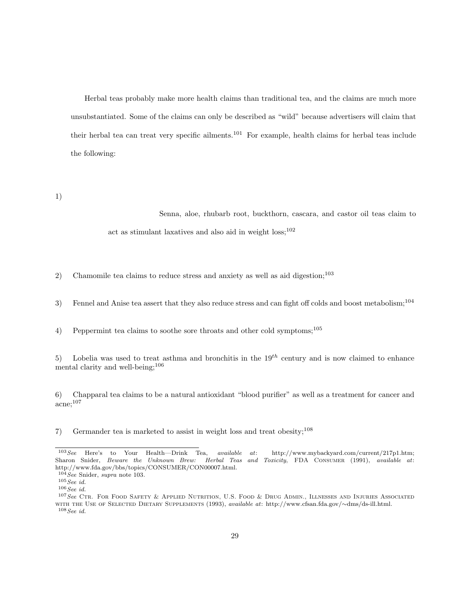Herbal teas probably make more health claims than traditional tea, and the claims are much more unsubstantiated. Some of the claims can only be described as "wild" because advertisers will claim that their herbal tea can treat very specific ailments.<sup>101</sup> For example, health claims for herbal teas include the following:

1)

Senna, aloe, rhubarb root, buckthorn, cascara, and castor oil teas claim to act as stimulant laxatives and also aid in weight  $loss;^{102}$ 

2) Chamomile tea claims to reduce stress and anxiety as well as aid digestion;<sup>103</sup>

3) Fennel and Anise tea assert that they also reduce stress and can fight off colds and boost metabolism;<sup>104</sup>

4) Peppermint tea claims to soothe sore throats and other cold symptoms;<sup>105</sup>

5) Lobelia was used to treat asthma and bronchitis in the  $19<sup>th</sup>$  century and is now claimed to enhance mental clarity and well-being;<sup>106</sup>

6) Chapparal tea claims to be a natural antioxidant "blood purifier" as well as a treatment for cancer and  $acne;$ <sup>107</sup>

7) Germander tea is marketed to assist in weight loss and treat obesity;<sup>108</sup>

<sup>103</sup>See Here's to Your Health—Drink Tea, available at: http://www.mybackyard.com/current/217p1.htm; Sharon Snider, Beware the Unknown Brew: Herbal Teas and Toxicity, FDA CONSUMER (1991), available at: http://www.fda.gov/bbs/topics/CONSUMER/CON00007.html.

 $104 \text{ See Snider}, \text{supra note } 103.$  $105$  See id.

 $106\, \bar{S}ee$ id.

<sup>&</sup>lt;sup>107</sup>See CTR. FOR FOOD SAFETY & APPLIED NUTRITION, U.S. FOOD & DRUG ADMIN., ILLNESSES AND INJURIES ASSOCIATED with the Use of Selected Dietary Supplements (1993), available at: http://www.cfsan.fda.gov/∼dms/ds-ill.html.  $^{108}See$   $id.$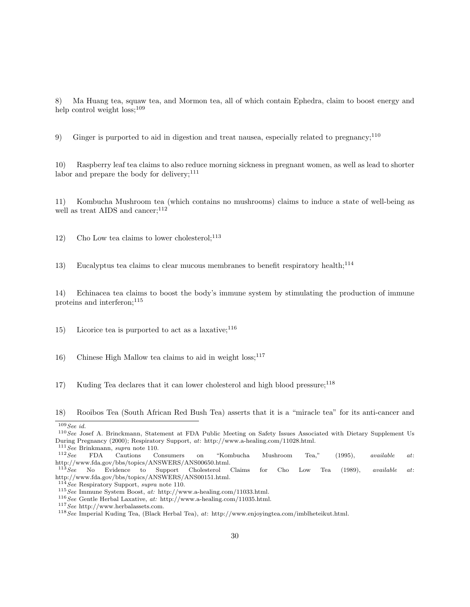8) Ma Huang tea, squaw tea, and Mormon tea, all of which contain Ephedra, claim to boost energy and help control weight loss;<sup>109</sup>

9) Ginger is purported to aid in digestion and treat nausea, especially related to pregnancy;<sup>110</sup>

10) Raspberry leaf tea claims to also reduce morning sickness in pregnant women, as well as lead to shorter labor and prepare the body for delivery;  $111$ 

11) Kombucha Mushroom tea (which contains no mushrooms) claims to induce a state of well-being as well as treat AIDS and cancer;  $\rm ^{112}$ 

12) Cho Low tea claims to lower cholesterol;  $113$ 

13) Eucalyptus tea claims to clear mucous membranes to benefit respiratory health;<sup>114</sup>

14) Echinacea tea claims to boost the body's immune system by stimulating the production of immune proteins and interferon;<sup>115</sup>

15) Licorice tea is purported to act as a laxative;  $116$ 

- 16) Chinese High Mallow tea claims to aid in weight  $loss;^{117}$
- 17) Kuding Tea declares that it can lower cholesterol and high blood pressure;<sup>118</sup>
- 18) Rooibos Tea (South African Red Bush Tea) asserts that it is a "miracle tea" for its anti-cancer and

 $109$  See id.

<sup>&</sup>lt;sup>110</sup>See Josef A. Brinckmann, Statement at FDA Public Meeting on Safety Issues Associated with Dietary Supplement Us During Pregnancy (2000); Respiratory Support, at: http://www.a-healing.com/11028.html.

 $^{111}See$  Brinkmann, supra note 110.<br>  $^{112}See$  FDA Cautions Co

 $112$  See FDA Cautions Consumers on "Kombucha Mushroom Tea," (1995), available at: http://www.fda.gov/bbs/topics/ANSWERS/ANS00650.html.

<sup>113</sup>See No Evidence to Support Cholesterol Claims for Cho Low Tea (1989), available at: http://www.fda.gov/bbs/topics/ANSWERS/ANS00151.html.

 $114$  See Respiratory Support, supra note 110.

 $115$  See Immune System Boost, at: http://www.a-healing.com/11033.html.

 $^{116}See$  Gentle Herbal Laxative,  $\it{at:}$  http://www.a-healing.com/11035.html.

 $117$  See http://www.herbalassets.com.

<sup>118</sup>See Imperial Kuding Tea, (Black Herbal Tea), at: http://www.enjoyingtea.com/imblheteikut.html.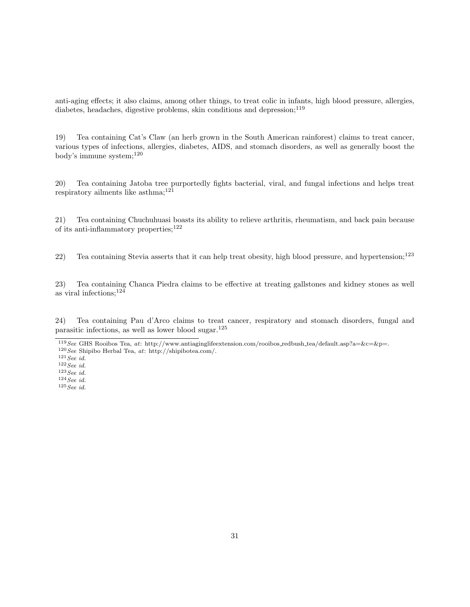anti-aging effects; it also claims, among other things, to treat colic in infants, high blood pressure, allergies, diabetes, headaches, digestive problems, skin conditions and depression;<sup>119</sup>

19) Tea containing Cat's Claw (an herb grown in the South American rainforest) claims to treat cancer, various types of infections, allergies, diabetes, AIDS, and stomach disorders, as well as generally boost the body's immune system;<sup>120</sup>

20) Tea containing Jatoba tree purportedly fights bacterial, viral, and fungal infections and helps treat respiratory ailments like asthma;<sup>121</sup>

21) Tea containing Chuchuhuasi boasts its ability to relieve arthritis, rheumatism, and back pain because of its anti-inflammatory properties;  $122$ 

22) Tea containing Stevia asserts that it can help treat obesity, high blood pressure, and hypertension;<sup>123</sup>

23) Tea containing Chanca Piedra claims to be effective at treating gallstones and kidney stones as well as viral infections;<sup>124</sup>

24) Tea containing Pau d'Arco claims to treat cancer, respiratory and stomach disorders, fungal and parasitic infections, as well as lower blood sugar.<sup>125</sup>

 $119 \text{ See GHz}$  Rooibos Tea,  $at:$  http://www.antiaginglifeextension.com/rooibos\_redbush\_tea/default.asp?a=&c=&p=.

 $120\,See$  Shipibo Herbal Tea,  $at:$  http://shipibotea.com/.

 $^{121}See$   $id.$ 

 $122$  See id.  $123$  See id.

 $^{124}See$ id.

 $125$  See id.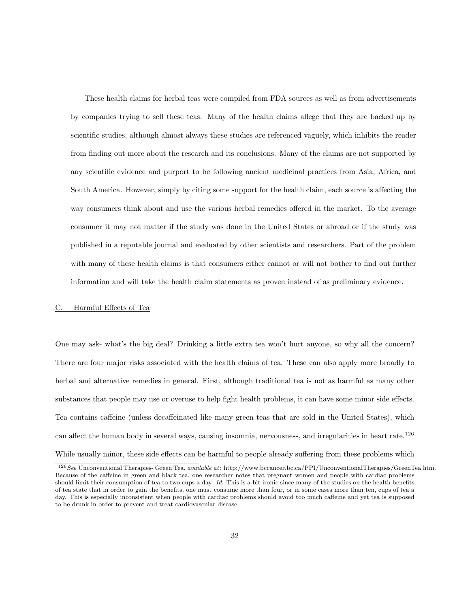These health claims for herbal teas were compiled from FDA sources as well as from advertisements by companies trying to sell these teas. Many of the health claims allege that they are backed up by scientific studies, although almost always these studies are referenced vaguely, which inhibits the reader from finding out more about the research and its conclusions. Many of the claims are not supported by any scientific evidence and purport to be following ancient medicinal practices from Asia, Africa, and South America. However, simply by citing some support for the health claim, each source is affecting the way consumers think about and use the various herbal remedies offered in the market. To the average consumer it may not matter if the study was done in the United States or abroad or if the study was published in a reputable journal and evaluated by other scientists and researchers. Part of the problem with many of these health claims is that consumers either cannot or will not bother to find out further information and will take the health claim statements as proven instead of as preliminary evidence.

#### C. Harmful Effects of Tea

One may ask- what's the big deal? Drinking a little extra tea won't hurt anyone, so why all the concern? There are four major risks associated with the health claims of tea. These can also apply more broadly to herbal and alternative remedies in general. First, although traditional tea is not as harmful as many other substances that people may use or overuse to help fight health problems, it can have some minor side effects. Tea contains caffeine (unless decaffeinated like many green teas that are sold in the United States), which can affect the human body in several ways, causing insomnia, nervousness, and irregularities in heart rate.<sup>126</sup> While usually minor, these side effects can be harmful to people already suffering from these problems which

 $126$  See Unconventional Therapies- Green Tea, available at: http://www.bccancer.bc.ca/PPI/UnconventionalTherapies/GreenTea.htm. Because of the caffeine in green and black tea, one researcher notes that pregnant women and people with cardiac problems should limit their consumption of tea to two cups a day. Id. This is a bit ironic since many of the studies on the health benefits of tea state that in order to gain the benefits, one must consume more than four, or in some cases more than ten, cups of tea a day. This is especially inconsistent when people with cardiac problems should avoid too much caffeine and yet tea is supposed to be drunk in order to prevent and treat cardiovascular disease.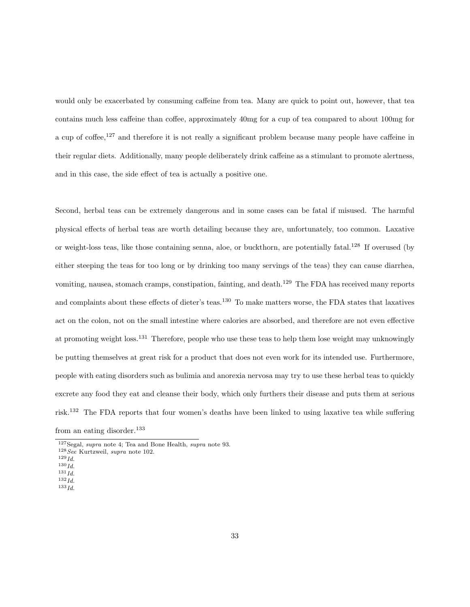would only be exacerbated by consuming caffeine from tea. Many are quick to point out, however, that tea contains much less caffeine than coffee, approximately 40mg for a cup of tea compared to about 100mg for a cup of coffee,<sup>127</sup> and therefore it is not really a significant problem because many people have caffeine in their regular diets. Additionally, many people deliberately drink caffeine as a stimulant to promote alertness, and in this case, the side effect of tea is actually a positive one.

Second, herbal teas can be extremely dangerous and in some cases can be fatal if misused. The harmful physical effects of herbal teas are worth detailing because they are, unfortunately, too common. Laxative or weight-loss teas, like those containing senna, aloe, or buckthorn, are potentially fatal.<sup>128</sup> If overused (by either steeping the teas for too long or by drinking too many servings of the teas) they can cause diarrhea, vomiting, nausea, stomach cramps, constipation, fainting, and death.<sup>129</sup> The FDA has received many reports and complaints about these effects of dieter's teas.<sup>130</sup> To make matters worse, the FDA states that laxatives act on the colon, not on the small intestine where calories are absorbed, and therefore are not even effective at promoting weight loss.<sup>131</sup> Therefore, people who use these teas to help them lose weight may unknowingly be putting themselves at great risk for a product that does not even work for its intended use. Furthermore, people with eating disorders such as bulimia and anorexia nervosa may try to use these herbal teas to quickly excrete any food they eat and cleanse their body, which only furthers their disease and puts them at serious risk.<sup>132</sup> The FDA reports that four women's deaths have been linked to using laxative tea while suffering

from an eating disorder.<sup>133</sup>

<sup>127</sup>Segal, supra note 4; Tea and Bone Health, supra note 93.

<sup>128</sup>See Kurtzweil, supra note 102.

 $129 \, Id.$ 

 $130$   $Id$ .  $131 \, \overline{Id}.$ 

 $132$   $Id.$ 

 $133\overline{Id}$ .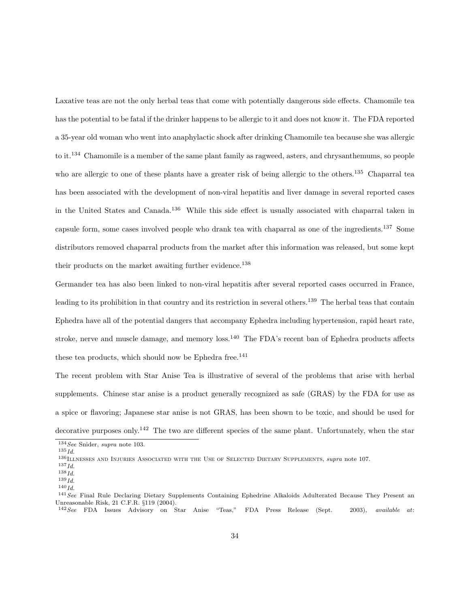Laxative teas are not the only herbal teas that come with potentially dangerous side effects. Chamomile tea has the potential to be fatal if the drinker happens to be allergic to it and does not know it. The FDA reported a 35-year old woman who went into anaphylactic shock after drinking Chamomile tea because she was allergic to it.<sup>134</sup> Chamomile is a member of the same plant family as ragweed, asters, and chrysanthemums, so people who are allergic to one of these plants have a greater risk of being allergic to the others.<sup>135</sup> Chaparral tea has been associated with the development of non-viral hepatitis and liver damage in several reported cases in the United States and Canada.<sup>136</sup> While this side effect is usually associated with chaparral taken in capsule form, some cases involved people who drank tea with chaparral as one of the ingredients.<sup>137</sup> Some distributors removed chaparral products from the market after this information was released, but some kept their products on the market awaiting further evidence.<sup>138</sup>

Germander tea has also been linked to non-viral hepatitis after several reported cases occurred in France, leading to its prohibition in that country and its restriction in several others.<sup>139</sup> The herbal teas that contain Ephedra have all of the potential dangers that accompany Ephedra including hypertension, rapid heart rate, stroke, nerve and muscle damage, and memory loss.<sup>140</sup> The FDA's recent ban of Ephedra products affects these tea products, which should now be Ephedra free.<sup>141</sup>

The recent problem with Star Anise Tea is illustrative of several of the problems that arise with herbal supplements. Chinese star anise is a product generally recognized as safe (GRAS) by the FDA for use as a spice or flavoring; Japanese star anise is not GRAS, has been shown to be toxic, and should be used for decorative purposes only.<sup>142</sup> The two are different species of the same plant. Unfortunately, when the star

 $134\,See$  Snider, supra note 103.

 $^{135}Id.$ 

<sup>136</sup>ILLNESSES AND INJURIES ASSOCIATED WITH THE USE OF SELECTED DIETARY SUPPLEMENTS, supra note 107.

 $137$   $Id.$ 

 $^{138} \mathit{Id}.$ 

 $139$   $Id.$ 

 $^{140}Id.$ 

<sup>&</sup>lt;sup>141</sup> See Final Rule Declaring Dietary Supplements Containing Ephedrine Alkaloids Adulterated Because They Present an Unreasonable Risk, 21 C.F.R. §119 (2004).

 $142$ See FDA Issues Advisory on Star Anise "Teas," FDA Press Release (Sept. 2003), available at: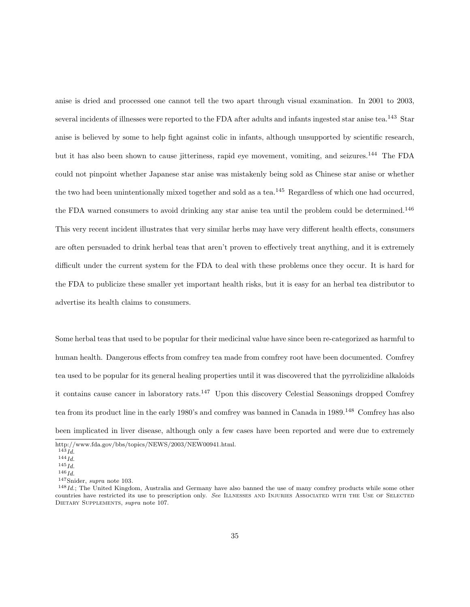anise is dried and processed one cannot tell the two apart through visual examination. In 2001 to 2003, several incidents of illnesses were reported to the FDA after adults and infants ingested star anise tea.<sup>143</sup> Star anise is believed by some to help fight against colic in infants, although unsupported by scientific research, but it has also been shown to cause jitteriness, rapid eye movement, vomiting, and seizures.<sup>144</sup> The FDA could not pinpoint whether Japanese star anise was mistakenly being sold as Chinese star anise or whether the two had been unintentionally mixed together and sold as a tea.<sup>145</sup> Regardless of which one had occurred, the FDA warned consumers to avoid drinking any star anise tea until the problem could be determined.<sup>146</sup> This very recent incident illustrates that very similar herbs may have very different health effects, consumers are often persuaded to drink herbal teas that aren't proven to effectively treat anything, and it is extremely difficult under the current system for the FDA to deal with these problems once they occur. It is hard for the FDA to publicize these smaller yet important health risks, but it is easy for an herbal tea distributor to advertise its health claims to consumers.

Some herbal teas that used to be popular for their medicinal value have since been re-categorized as harmful to human health. Dangerous effects from comfrey tea made from comfrey root have been documented. Comfrey tea used to be popular for its general healing properties until it was discovered that the pyrrolizidine alkaloids it contains cause cancer in laboratory rats.<sup>147</sup> Upon this discovery Celestial Seasonings dropped Comfrey tea from its product line in the early 1980's and comfrey was banned in Canada in 1989.<sup>148</sup> Comfrey has also been implicated in liver disease, although only a few cases have been reported and were due to extremely

http://www.fda.gov/bbs/topics/NEWS/2003/NEW00941.html.

 $143$   $Id.$ 

 $144 \, Id.$ 

 $145$   $Id$ .  $146 \, Id.$ 

<sup>147</sup>Snider, supra note 103.

 $148$ Id.; The United Kingdom, Australia and Germany have also banned the use of many comfrey products while some other countries have restricted its use to prescription only. See ILLNESSES AND INJURIES ASSOCIATED WITH THE USE OF SELECTED Dietary Supplements, supra note 107.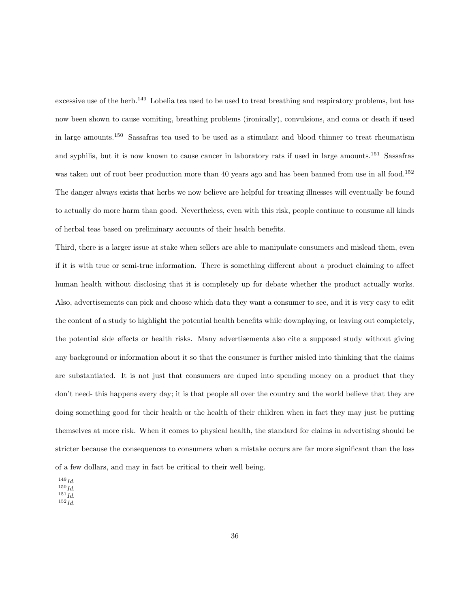excessive use of the herb.<sup>149</sup> Lobelia tea used to be used to treat breathing and respiratory problems, but has now been shown to cause vomiting, breathing problems (ironically), convulsions, and coma or death if used in large amounts.<sup>150</sup> Sassafras tea used to be used as a stimulant and blood thinner to treat rheumatism and syphilis, but it is now known to cause cancer in laboratory rats if used in large amounts.<sup>151</sup> Sassafras was taken out of root beer production more than 40 years ago and has been banned from use in all food.<sup>152</sup> The danger always exists that herbs we now believe are helpful for treating illnesses will eventually be found to actually do more harm than good. Nevertheless, even with this risk, people continue to consume all kinds of herbal teas based on preliminary accounts of their health benefits.

Third, there is a larger issue at stake when sellers are able to manipulate consumers and mislead them, even if it is with true or semi-true information. There is something different about a product claiming to affect human health without disclosing that it is completely up for debate whether the product actually works. Also, advertisements can pick and choose which data they want a consumer to see, and it is very easy to edit the content of a study to highlight the potential health benefits while downplaying, or leaving out completely, the potential side effects or health risks. Many advertisements also cite a supposed study without giving any background or information about it so that the consumer is further misled into thinking that the claims are substantiated. It is not just that consumers are duped into spending money on a product that they don't need- this happens every day; it is that people all over the country and the world believe that they are doing something good for their health or the health of their children when in fact they may just be putting themselves at more risk. When it comes to physical health, the standard for claims in advertising should be stricter because the consequences to consumers when a mistake occurs are far more significant than the loss of a few dollars, and may in fact be critical to their well being.

 $\overline{^{149}Id}$ .

 $152$   $Id.$ 

 $150$   $Id.$  $151\overline{Id}$ .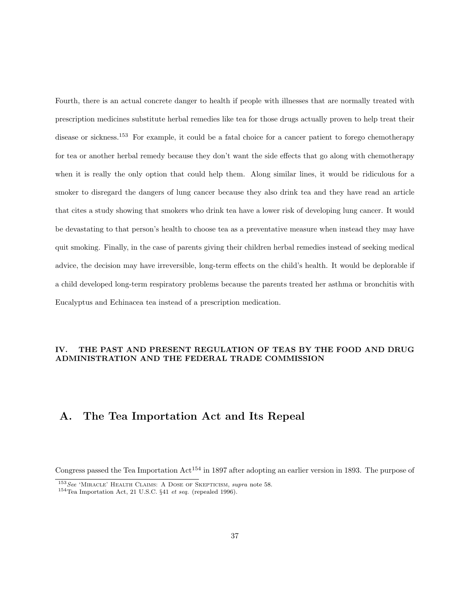Fourth, there is an actual concrete danger to health if people with illnesses that are normally treated with prescription medicines substitute herbal remedies like tea for those drugs actually proven to help treat their disease or sickness.<sup>153</sup> For example, it could be a fatal choice for a cancer patient to forego chemotherapy for tea or another herbal remedy because they don't want the side effects that go along with chemotherapy when it is really the only option that could help them. Along similar lines, it would be ridiculous for a smoker to disregard the dangers of lung cancer because they also drink tea and they have read an article that cites a study showing that smokers who drink tea have a lower risk of developing lung cancer. It would be devastating to that person's health to choose tea as a preventative measure when instead they may have quit smoking. Finally, in the case of parents giving their children herbal remedies instead of seeking medical advice, the decision may have irreversible, long-term effects on the child's health. It would be deplorable if a child developed long-term respiratory problems because the parents treated her asthma or bronchitis with Eucalyptus and Echinacea tea instead of a prescription medication.

### IV. THE PAST AND PRESENT REGULATION OF TEAS BY THE FOOD AND DRUG ADMINISTRATION AND THE FEDERAL TRADE COMMISSION

## A. The Tea Importation Act and Its Repeal

Congress passed the Tea Importation  $\text{Act}^{154}$  in 1897 after adopting an earlier version in 1893. The purpose of

 $153$  See 'MIRACLE' HEALTH CLAIMS: A DOSE OF SKEPTICISM, supra note 58.

<sup>154</sup>Tea Importation Act, 21 U.S.C. §41 et seq. (repealed 1996).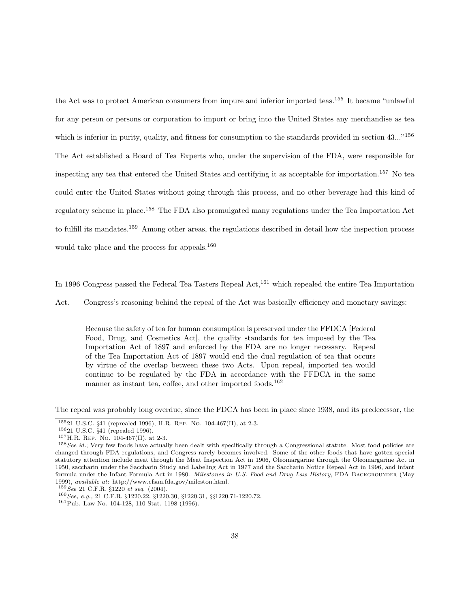the Act was to protect American consumers from impure and inferior imported teas.<sup>155</sup> It became "unlawful for any person or persons or corporation to import or bring into the United States any merchandise as tea which is inferior in purity, quality, and fitness for consumption to the standards provided in section  $43...$ <sup>156</sup> The Act established a Board of Tea Experts who, under the supervision of the FDA, were responsible for inspecting any tea that entered the United States and certifying it as acceptable for importation.<sup>157</sup> No tea could enter the United States without going through this process, and no other beverage had this kind of regulatory scheme in place.<sup>158</sup> The FDA also promulgated many regulations under the Tea Importation Act to fulfill its mandates.<sup>159</sup> Among other areas, the regulations described in detail how the inspection process would take place and the process for appeals.<sup>160</sup>

In 1996 Congress passed the Federal Tea Tasters Repeal Act,<sup>161</sup> which repealed the entire Tea Importation

Act. Congress's reasoning behind the repeal of the Act was basically efficiency and monetary savings:

Because the safety of tea for human consumption is preserved under the FFDCA [Federal Food, Drug, and Cosmetics Act], the quality standards for tea imposed by the Tea Importation Act of 1897 and enforced by the FDA are no longer necessary. Repeal of the Tea Importation Act of 1897 would end the dual regulation of tea that occurs by virtue of the overlap between these two Acts. Upon repeal, imported tea would continue to be regulated by the FDA in accordance with the FFDCA in the same manner as instant tea, coffee, and other imported foods.<sup>162</sup>

The repeal was probably long overdue, since the FDCA has been in place since 1938, and its predecessor, the

<sup>155</sup>21 U.S.C. §41 (reprealed 1996); H.R. Rep. No. 104-467(II), at 2-3.

<sup>156</sup>21 U.S.C. §41 (repealed 1996).

<sup>157</sup>H.R. Rep. No. 104-467(II), at 2-3.

 $158$  See id.; Very few foods have actually been dealt with specifically through a Congressional statute. Most food policies are changed through FDA regulations, and Congress rarely becomes involved. Some of the other foods that have gotten special statutory attention include meat through the Meat Inspection Act in 1906, Oleomargarine through the Oleomargarine Act in 1950, saccharin under the Saccharin Study and Labeling Act in 1977 and the Saccharin Notice Repeal Act in 1996, and infant formula under the Infant Formula Act in 1980. Milestones in U.S. Food and Drug Law History, FDA BACKGROUNDER (May 1999), available at: http://www.cfsan.fda.gov/mileston.html.

 $159\,$ See 21 C.F.R. §1220 et seq. (2004).

<sup>160</sup>See, e.g., 21 C.F.R. §1220.22, §1220.30, §1220.31, §§1220.71-1220.72.

<sup>161</sup>Pub. Law No. 104-128, 110 Stat. 1198 (1996).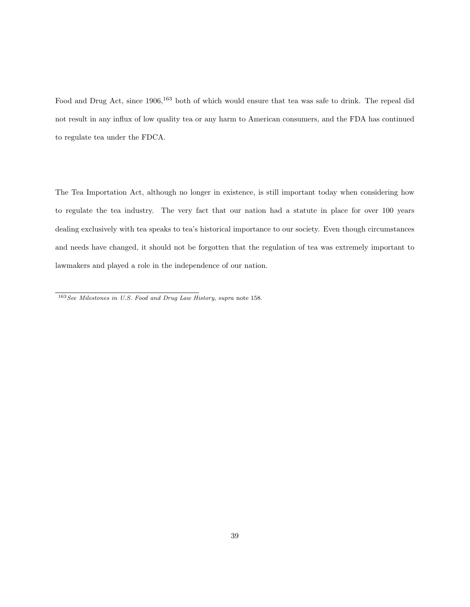Food and Drug Act, since 1906,<sup>163</sup> both of which would ensure that tea was safe to drink. The repeal did not result in any influx of low quality tea or any harm to American consumers, and the FDA has continued to regulate tea under the FDCA.

The Tea Importation Act, although no longer in existence, is still important today when considering how to regulate the tea industry. The very fact that our nation had a statute in place for over 100 years dealing exclusively with tea speaks to tea's historical importance to our society. Even though circumstances and needs have changed, it should not be forgotten that the regulation of tea was extremely important to lawmakers and played a role in the independence of our nation.

 $163$  See Milestones in U.S. Food and Drug Law History, supra note 158.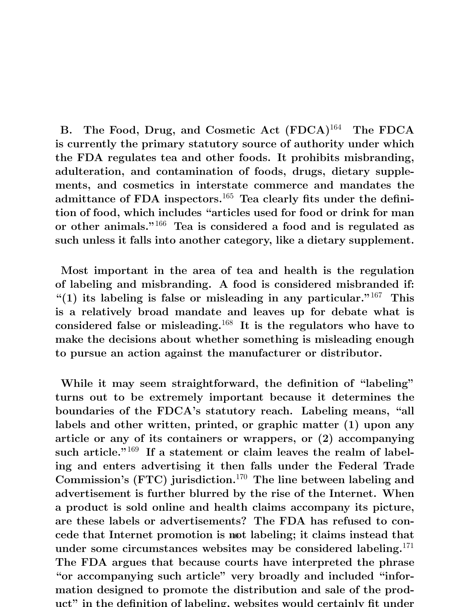B. The Food, Drug, and Cosmetic Act (FDCA)<sup>164</sup> The FDCA is currently the primary statutory source of authority under which the FDA regulates tea and other foods. It prohibits misbranding, adulteration, and contamination of foods, drugs, dietary supplements, and cosmetics in interstate commerce and mandates the admittance of FDA inspectors.<sup>165</sup> Tea clearly fits under the definition of food, which includes "articles used for food or drink for man or other animals."<sup>166</sup> Tea is considered a food and is regulated as such unless it falls into another category, like a dietary supplement.

Most important in the area of tea and health is the regulation of labeling and misbranding. A food is considered misbranded if: "(1) its labeling is false or misleading in any particular."<sup>167</sup> This is a relatively broad mandate and leaves up for debate what is considered false or misleading.<sup>168</sup> It is the regulators who have to make the decisions about whether something is misleading enough to pursue an action against the manufacturer or distributor.

While it may seem straightforward, the definition of "labeling" turns out to be extremely important because it determines the boundaries of the FDCA's statutory reach. Labeling means, "all labels and other written, printed, or graphic matter (1) upon any article or any of its containers or wrappers, or (2) accompanying such article."<sup>169</sup> If a statement or claim leaves the realm of labeling and enters advertising it then falls under the Federal Trade Commission's  $(FTC)$  jurisdiction.<sup>170</sup> The line between labeling and advertisement is further blurred by the rise of the Internet. When a product is sold online and health claims accompany its picture, are these labels or advertisements? The FDA has refused to concede that Internet promotion is not labeling; it claims instead that under some circumstances websites may be considered labeling. $171$ The FDA argues that because courts have interpreted the phrase "or accompanying such article" very broadly and included "information designed to promote the distribution and sale of the product" in the definition of labeling, websites would certainly fit under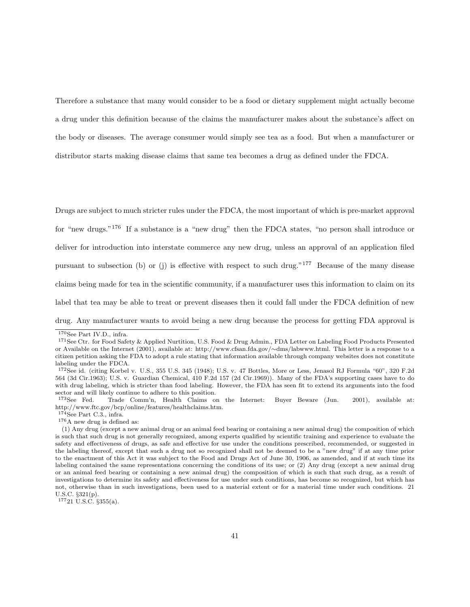Therefore a substance that many would consider to be a food or dietary supplement might actually become a drug under this definition because of the claims the manufacturer makes about the substance's affect on the body or diseases. The average consumer would simply see tea as a food. But when a manufacturer or distributor starts making disease claims that same tea becomes a drug as defined under the FDCA.

Drugs are subject to much stricter rules under the FDCA, the most important of which is pre-market approval for "new drugs."<sup>176</sup> If a substance is a "new drug" then the FDCA states, "no person shall introduce or deliver for introduction into interstate commerce any new drug, unless an approval of an application filed pursuant to subsection (b) or (j) is effective with respect to such drug."<sup>177</sup> Because of the many disease claims being made for tea in the scientific community, if a manufacturer uses this information to claim on its label that tea may be able to treat or prevent diseases then it could fall under the FDCA definition of new

<sup>177</sup>21 U.S.C. §355(a).

drug. Any manufacturer wants to avoid being a new drug because the process for getting FDA approval is

<sup>170</sup>See Part IV.D., infra.

<sup>&</sup>lt;sup>171</sup>See Ctr. for Food Safety & Applied Nurtition, U.S. Food & Drug Admin., FDA Letter on Labeling Food Products Presented or Available on the Internet (2001), available at: http://www.cfsan.fda.gov/∼dms/labwww.html. This letter is a response to a citizen petition asking the FDA to adopt a rule stating that information available through company websites does not constitute labeling under the FDCA.

<sup>172</sup>See id. (citing Korbel v. U.S., 355 U.S. 345 (1948); U.S. v. 47 Bottles, More or Less, Jenasol RJ Formula "60", 320 F.2d 564 (3d Cir.1963); U.S. v. Guardian Chemical, 410 F.2d 157 (2d Cir.1969)). Many of the FDA's supporting cases have to do with drug labeling, which is stricter than food labeling. However, the FDA has seen fit to extend its arguments into the food sector and will likely continue to adhere to this position.<br> $173$ See Fed. Trade Comm'n, Health Claims o

Trade Comm'n, Health Claims on the Internet: Buyer Beware (Jun. 2001), available at: http://www.ftc.gov/bcp/online/features/healthclaims.htm.

<sup>174</sup>See Part C.3., infra.

 $^{176}\mathrm{A}$  new drug is defined as:

<sup>(1)</sup> Any drug (except a new animal drug or an animal feed bearing or containing a new animal drug) the composition of which is such that such drug is not generally recognized, among experts qualified by scientific training and experience to evaluate the safety and effectiveness of drugs, as safe and effective for use under the conditions prescribed, recommended, or suggested in the labeling thereof, except that such a drug not so recognized shall not be deemed to be a "new drug" if at any time prior to the enactment of this Act it was subject to the Food and Drugs Act of June 30, 1906, as amended, and if at such time its labeling contained the same representations concerning the conditions of its use; or (2) Any drug (except a new animal drug or an animal feed bearing or containing a new animal drug) the composition of which is such that such drug, as a result of investigations to determine its safety and effectiveness for use under such conditions, has become so recognized, but which has not, otherwise than in such investigations, been used to a material extent or for a material time under such conditions. 21 U.S.C. §321(p).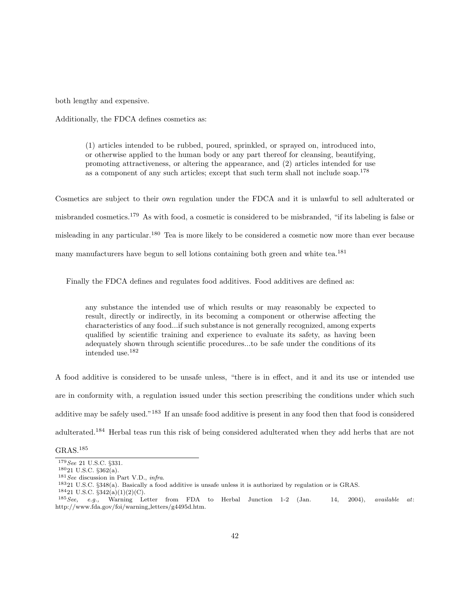both lengthy and expensive.

Additionally, the FDCA defines cosmetics as:

(1) articles intended to be rubbed, poured, sprinkled, or sprayed on, introduced into, or otherwise applied to the human body or any part thereof for cleansing, beautifying, promoting attractiveness, or altering the appearance, and (2) articles intended for use as a component of any such articles; except that such term shall not include soap.<sup>178</sup>

Cosmetics are subject to their own regulation under the FDCA and it is unlawful to sell adulterated or misbranded cosmetics.<sup>179</sup> As with food, a cosmetic is considered to be misbranded, "if its labeling is false or misleading in any particular.<sup>180</sup> Tea is more likely to be considered a cosmetic now more than ever because many manufacturers have begun to sell lotions containing both green and white tea.<sup>181</sup>

Finally the FDCA defines and regulates food additives. Food additives are defined as:

any substance the intended use of which results or may reasonably be expected to result, directly or indirectly, in its becoming a component or otherwise affecting the characteristics of any food...if such substance is not generally recognized, among experts qualified by scientific training and experience to evaluate its safety, as having been adequately shown through scientific procedures...to be safe under the conditions of its intended use.<sup>182</sup>

A food additive is considered to be unsafe unless, "there is in effect, and it and its use or intended use are in conformity with, a regulation issued under this section prescribing the conditions under which such additive may be safely used."<sup>183</sup> If an unsafe food additive is present in any food then that food is considered adulterated.<sup>184</sup> Herbal teas run this risk of being considered adulterated when they add herbs that are not

GRAS.<sup>185</sup>

 $179$  See 21 U.S.C.  $\S 331$ .

<sup>180</sup>21 U.S.C. §362(a).

 $181$  See discussion in Part V.D., infra.

<sup>183</sup>21 U.S.C. §348(a). Basically a food additive is unsafe unless it is authorized by regulation or is GRAS.

 $18421$  U.S.C.  $\S 342(a)(1)(2)(C)$ .

 $185$  See, e.g., Warning Letter from FDA to Herbal Junction 1-2 (Jan. 14, 2004), available at: http://www.fda.gov/foi/warning letters/g4495d.htm.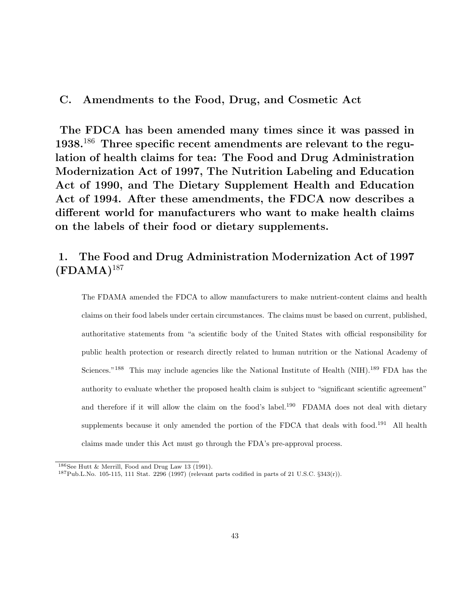### C. Amendments to the Food, Drug, and Cosmetic Act

The FDCA has been amended many times since it was passed in  $1938.<sup>186</sup>$  Three specific recent amendments are relevant to the regulation of health claims for tea: The Food and Drug Administration Modernization Act of 1997, The Nutrition Labeling and Education Act of 1990, and The Dietary Supplement Health and Education Act of 1994. After these amendments, the FDCA now describes a different world for manufacturers who want to make health claims on the labels of their food or dietary supplements.

# 1. The Food and Drug Administration Modernization Act of 1997  $(FDAMA)^{187}$

The FDAMA amended the FDCA to allow manufacturers to make nutrient-content claims and health claims on their food labels under certain circumstances. The claims must be based on current, published, authoritative statements from "a scientific body of the United States with official responsibility for public health protection or research directly related to human nutrition or the National Academy of Sciences."<sup>188</sup> This may include agencies like the National Institute of Health (NIH).<sup>189</sup> FDA has the authority to evaluate whether the proposed health claim is subject to "significant scientific agreement" and therefore if it will allow the claim on the food's label.<sup>190</sup> FDAMA does not deal with dietary supplements because it only amended the portion of the FDCA that deals with food.<sup>191</sup> All health claims made under this Act must go through the FDA's pre-approval process.

 $^{186}\mathrm{See}$  Hutt & Merrill, Food and Drug Law 13 (1991).

 $187$ Pub.L.No. 105-115, 111 Stat. 2296 (1997) (relevant parts codified in parts of 21 U.S.C. §343(r)).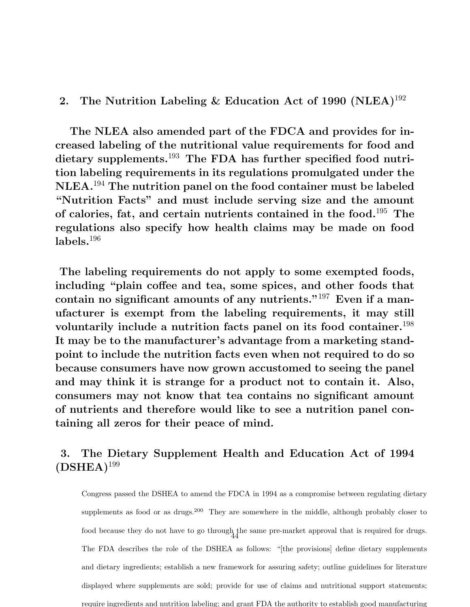# 2. The Nutrition Labeling & Education Act of 1990 (NLEA)<sup>192</sup>

The NLEA also amended part of the FDCA and provides for increased labeling of the nutritional value requirements for food and dietary supplements.<sup>193</sup> The FDA has further specified food nutrition labeling requirements in its regulations promulgated under the NLEA.<sup>194</sup> The nutrition panel on the food container must be labeled "Nutrition Facts" and must include serving size and the amount of calories, fat, and certain nutrients contained in the food.<sup>195</sup> The regulations also specify how health claims may be made on food labels.<sup>196</sup>

The labeling requirements do not apply to some exempted foods, including "plain coffee and tea, some spices, and other foods that contain no significant amounts of any nutrients."<sup>197</sup> Even if a manufacturer is exempt from the labeling requirements, it may still voluntarily include a nutrition facts panel on its food container.<sup>198</sup> It may be to the manufacturer's advantage from a marketing standpoint to include the nutrition facts even when not required to do so because consumers have now grown accustomed to seeing the panel and may think it is strange for a product not to contain it. Also, consumers may not know that tea contains no significant amount of nutrients and therefore would like to see a nutrition panel containing all zeros for their peace of mind.

# 3. The Dietary Supplement Health and Education Act of 1994  $(DSHEA)^{199}$

Congress passed the DSHEA to amend the FDCA in 1994 as a compromise between regulating dietary supplements as food or as drugs.<sup>200</sup> They are somewhere in the middle, although probably closer to food because they do not have to go through the same pre-market approval that is required for drugs. The FDA describes the role of the DSHEA as follows: "[the provisions] define dietary supplements and dietary ingredients; establish a new framework for assuring safety; outline guidelines for literature displayed where supplements are sold; provide for use of claims and nutritional support statements; require ingredients and nutrition labeling; and grant FDA the authority to establish good manufacturing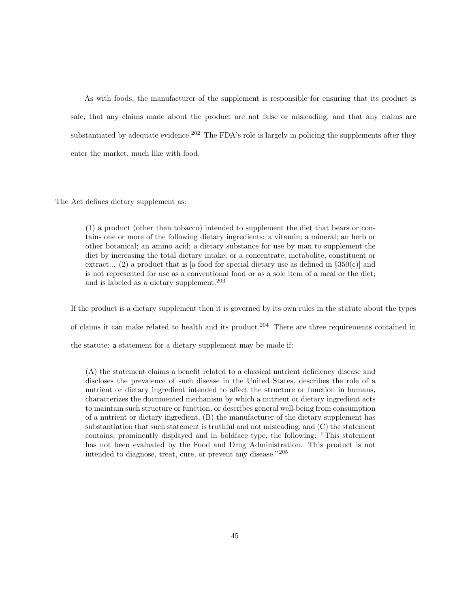As with foods, the manufacturer of the supplement is responsible for ensuring that its product is safe, that any claims made about the product are not false or misleading, and that any claims are substantiated by adequate evidence.<sup>202</sup> The FDA's role is largely in policing the supplements after they enter the market, much like with food.

The Act defines dietary supplement as:

(1) a product (other than tobacco) intended to supplement the diet that bears or contains one or more of the following dietary ingredients: a vitamin; a mineral; an herb or other botanical; an amino acid; a dietary substance for use by man to supplement the diet by increasing the total dietary intake; or a concentrate, metabolite, constituent or extract... (2) a product that is [a food for special dietary use as defined in  $\S 350(c)$ ] and is not represented for use as a conventional food or as a sole item of a meal or the diet; and is labeled as a dietary supplement.<sup>203</sup>

If the product is a dietary supplement then it is governed by its own rules in the statute about the types of claims it can make related to health and its product.<sup>204</sup> There are three requirements contained in the statute: a statement for a dietary supplement may be made if:

(A) the statement claims a benefit related to a classical nutrient deficiency disease and discloses the prevalence of such disease in the United States, describes the role of a nutrient or dietary ingredient intended to affect the structure or function in humans, characterizes the documented mechanism by which a nutrient or dietary ingredient acts to maintain such structure or function, or describes general well-being from consumption of a nutrient or dietary ingredient, (B) the manufacturer of the dietary supplement has substantiation that such statement is truthful and not misleading, and (C) the statement contains, prominently displayed and in boldface type, the following: "This statement has not been evaluated by the Food and Drug Administration. This product is not intended to diagnose, treat, cure, or prevent any disease."<sup>205</sup>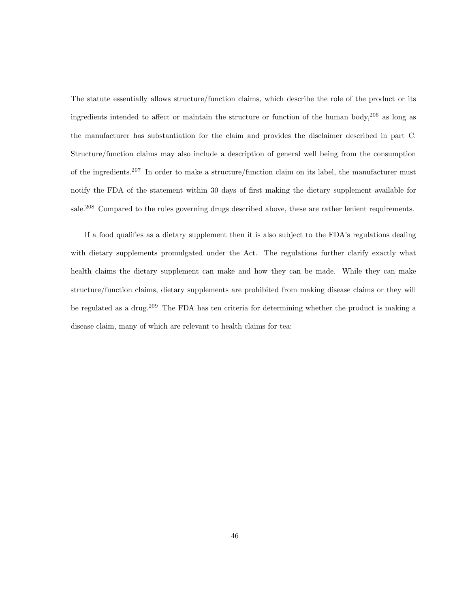The statute essentially allows structure/function claims, which describe the role of the product or its ingredients intended to affect or maintain the structure or function of the human body,<sup>206</sup> as long as the manufacturer has substantiation for the claim and provides the disclaimer described in part C. Structure/function claims may also include a description of general well being from the consumption of the ingredients.<sup>207</sup> In order to make a structure/function claim on its label, the manufacturer must notify the FDA of the statement within 30 days of first making the dietary supplement available for sale.<sup>208</sup> Compared to the rules governing drugs described above, these are rather lenient requirements.

If a food qualifies as a dietary supplement then it is also subject to the FDA's regulations dealing with dietary supplements promulgated under the Act. The regulations further clarify exactly what health claims the dietary supplement can make and how they can be made. While they can make structure/function claims, dietary supplements are prohibited from making disease claims or they will be regulated as a drug.<sup>209</sup> The FDA has ten criteria for determining whether the product is making a disease claim, many of which are relevant to health claims for tea: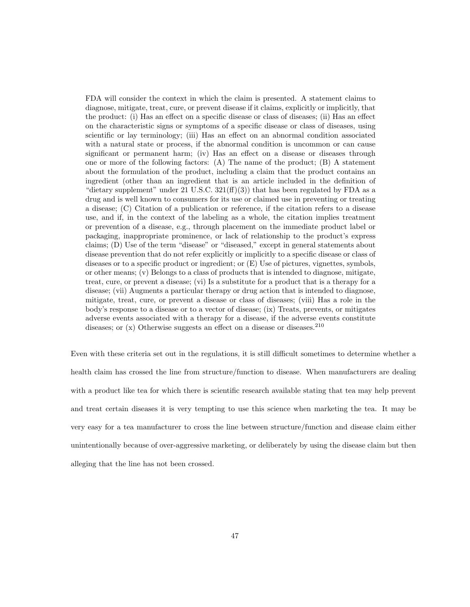FDA will consider the context in which the claim is presented. A statement claims to diagnose, mitigate, treat, cure, or prevent disease if it claims, explicitly or implicitly, that the product: (i) Has an effect on a specific disease or class of diseases; (ii) Has an effect on the characteristic signs or symptoms of a specific disease or class of diseases, using scientific or lay terminology; (iii) Has an effect on an abnormal condition associated with a natural state or process, if the abnormal condition is uncommon or can cause significant or permanent harm; (iv) Has an effect on a disease or diseases through one or more of the following factors:  $(A)$  The name of the product;  $(B)$  A statement about the formulation of the product, including a claim that the product contains an ingredient (other than an ingredient that is an article included in the definition of "dietary supplement" under 21 U.S.C.  $321(f)(3)$ ) that has been regulated by FDA as a drug and is well known to consumers for its use or claimed use in preventing or treating a disease; (C) Citation of a publication or reference, if the citation refers to a disease use, and if, in the context of the labeling as a whole, the citation implies treatment or prevention of a disease, e.g., through placement on the immediate product label or packaging, inappropriate prominence, or lack of relationship to the product's express claims; (D) Use of the term "disease" or "diseased," except in general statements about disease prevention that do not refer explicitly or implicitly to a specific disease or class of diseases or to a specific product or ingredient; or (E) Use of pictures, vignettes, symbols, or other means; (v) Belongs to a class of products that is intended to diagnose, mitigate, treat, cure, or prevent a disease; (vi) Is a substitute for a product that is a therapy for a disease; (vii) Augments a particular therapy or drug action that is intended to diagnose, mitigate, treat, cure, or prevent a disease or class of diseases; (viii) Has a role in the body's response to a disease or to a vector of disease; (ix) Treats, prevents, or mitigates adverse events associated with a therapy for a disease, if the adverse events constitute diseases; or  $(x)$  Otherwise suggests an effect on a disease or diseases.<sup>210</sup>

Even with these criteria set out in the regulations, it is still difficult sometimes to determine whether a health claim has crossed the line from structure/function to disease. When manufacturers are dealing with a product like tea for which there is scientific research available stating that tea may help prevent and treat certain diseases it is very tempting to use this science when marketing the tea. It may be very easy for a tea manufacturer to cross the line between structure/function and disease claim either unintentionally because of over-aggressive marketing, or deliberately by using the disease claim but then alleging that the line has not been crossed.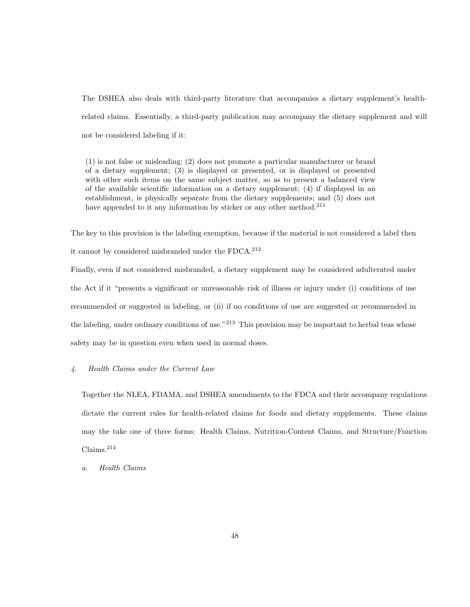The DSHEA also deals with third-party literature that accompanies a dietary supplement's healthrelated claims. Essentially, a third-party publication may accompany the dietary supplement and will not be considered labeling if it:

(1) is not false or misleading; (2) does not promote a particular manufacturer or brand of a dietary supplement; (3) is displayed or presented, or is displayed or presented with other such items on the same subject matter, so as to present a balanced view of the available scientific information on a dietary supplement; (4) if displayed in an establishment, is physically separate from the dietary supplements; and (5) does not have appended to it any information by sticker or any other method.<sup>211</sup>

The key to this provision is the labeling exemption, because if the material is not considered a label then it cannot by considered misbranded under the FDCA.<sup>212</sup>

Finally, even if not considered misbranded, a dietary supplement may be considered adulterated under the Act if it "presents a significant or unreasonable risk of illness or injury under (i) conditions of use recommended or suggested in labeling, or (ii) if no conditions of use are suggested or recommended in the labeling, under ordinary conditions of use."<sup>213</sup> This provision may be important to herbal teas whose safety may be in question even when used in normal doses.

### 4. Health Claims under the Current Law

Together the NLEA, FDAMA, and DSHEA amendments to the FDCA and their accompany regulations dictate the current rules for health-related claims for foods and dietary supplements. These claims may the take one of three forms: Health Claims, Nutrition-Content Claims, and Structure/Function Claims.<sup>214</sup>

### a. Health Claims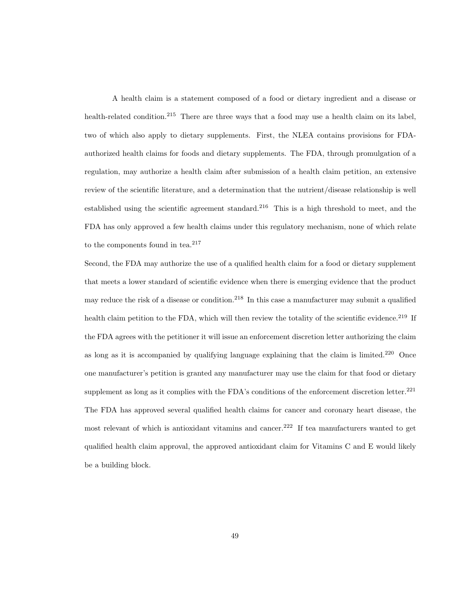A health claim is a statement composed of a food or dietary ingredient and a disease or health-related condition.<sup>215</sup> There are three ways that a food may use a health claim on its label, two of which also apply to dietary supplements. First, the NLEA contains provisions for FDAauthorized health claims for foods and dietary supplements. The FDA, through promulgation of a regulation, may authorize a health claim after submission of a health claim petition, an extensive review of the scientific literature, and a determination that the nutrient/disease relationship is well established using the scientific agreement standard.<sup>216</sup> This is a high threshold to meet, and the FDA has only approved a few health claims under this regulatory mechanism, none of which relate to the components found in tea.<sup>217</sup>

Second, the FDA may authorize the use of a qualified health claim for a food or dietary supplement that meets a lower standard of scientific evidence when there is emerging evidence that the product may reduce the risk of a disease or condition.<sup>218</sup> In this case a manufacturer may submit a qualified health claim petition to the FDA, which will then review the totality of the scientific evidence.<sup>219</sup> If the FDA agrees with the petitioner it will issue an enforcement discretion letter authorizing the claim as long as it is accompanied by qualifying language explaining that the claim is limited.<sup>220</sup> Once one manufacturer's petition is granted any manufacturer may use the claim for that food or dietary supplement as long as it complies with the FDA's conditions of the enforcement discretion letter.<sup>221</sup> The FDA has approved several qualified health claims for cancer and coronary heart disease, the most relevant of which is antioxidant vitamins and cancer.<sup>222</sup> If tea manufacturers wanted to get qualified health claim approval, the approved antioxidant claim for Vitamins C and E would likely be a building block.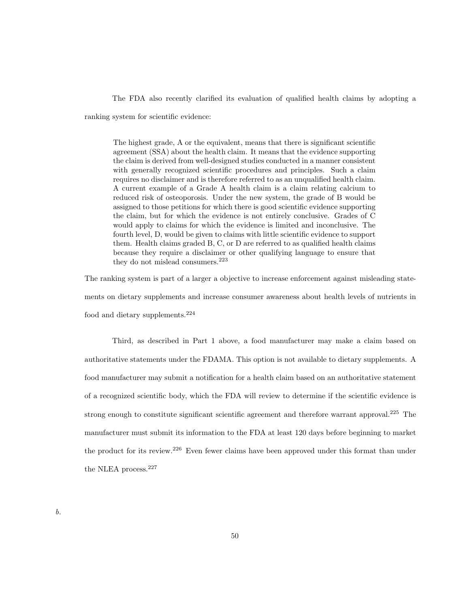The FDA also recently clarified its evaluation of qualified health claims by adopting a ranking system for scientific evidence:

The highest grade, A or the equivalent, means that there is significant scientific agreement (SSA) about the health claim. It means that the evidence supporting the claim is derived from well-designed studies conducted in a manner consistent with generally recognized scientific procedures and principles. Such a claim requires no disclaimer and is therefore referred to as an unqualified health claim. A current example of a Grade A health claim is a claim relating calcium to reduced risk of osteoporosis. Under the new system, the grade of B would be assigned to those petitions for which there is good scientific evidence supporting the claim, but for which the evidence is not entirely conclusive. Grades of C would apply to claims for which the evidence is limited and inconclusive. The fourth level, D, would be given to claims with little scientific evidence to support them. Health claims graded B, C, or D are referred to as qualified health claims because they require a disclaimer or other qualifying language to ensure that they do not mislead consumers.<sup>223</sup>

The ranking system is part of a larger a objective to increase enforcement against misleading statements on dietary supplements and increase consumer awareness about health levels of nutrients in food and dietary supplements.<sup>224</sup>

Third, as described in Part 1 above, a food manufacturer may make a claim based on authoritative statements under the FDAMA. This option is not available to dietary supplements. A food manufacturer may submit a notification for a health claim based on an authoritative statement of a recognized scientific body, which the FDA will review to determine if the scientific evidence is strong enough to constitute significant scientific agreement and therefore warrant approval.<sup>225</sup> The manufacturer must submit its information to the FDA at least 120 days before beginning to market the product for its review.<sup>226</sup> Even fewer claims have been approved under this format than under the NLEA process.<sup>227</sup>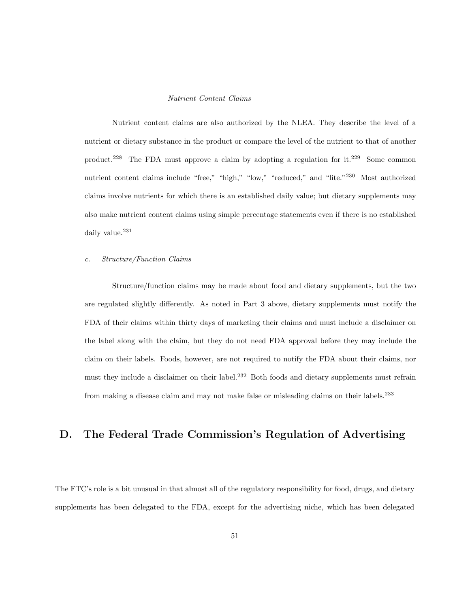### Nutrient Content Claims

Nutrient content claims are also authorized by the NLEA. They describe the level of a nutrient or dietary substance in the product or compare the level of the nutrient to that of another product.<sup>228</sup> The FDA must approve a claim by adopting a regulation for it.<sup>229</sup> Some common nutrient content claims include "free," "high," "low," "reduced," and "lite."<sup>230</sup> Most authorized claims involve nutrients for which there is an established daily value; but dietary supplements may also make nutrient content claims using simple percentage statements even if there is no established daily value.<sup>231</sup>

### c. Structure/Function Claims

Structure/function claims may be made about food and dietary supplements, but the two are regulated slightly differently. As noted in Part 3 above, dietary supplements must notify the FDA of their claims within thirty days of marketing their claims and must include a disclaimer on the label along with the claim, but they do not need FDA approval before they may include the claim on their labels. Foods, however, are not required to notify the FDA about their claims, nor must they include a disclaimer on their label.<sup>232</sup> Both foods and dietary supplements must refrain from making a disease claim and may not make false or misleading claims on their labels.<sup>233</sup>

### D. The Federal Trade Commission's Regulation of Advertising

The FTC's role is a bit unusual in that almost all of the regulatory responsibility for food, drugs, and dietary supplements has been delegated to the FDA, except for the advertising niche, which has been delegated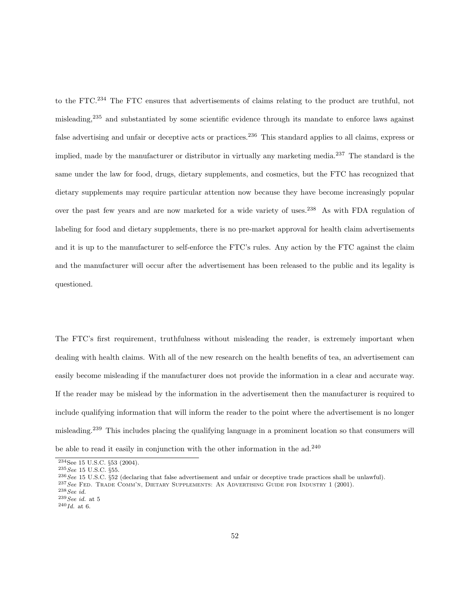to the FTC.<sup>234</sup> The FTC ensures that advertisements of claims relating to the product are truthful, not misleading,<sup>235</sup> and substantiated by some scientific evidence through its mandate to enforce laws against false advertising and unfair or deceptive acts or practices.<sup>236</sup> This standard applies to all claims, express or implied, made by the manufacturer or distributor in virtually any marketing media.<sup>237</sup> The standard is the same under the law for food, drugs, dietary supplements, and cosmetics, but the FTC has recognized that dietary supplements may require particular attention now because they have become increasingly popular over the past few years and are now marketed for a wide variety of uses.<sup>238</sup> As with FDA regulation of labeling for food and dietary supplements, there is no pre-market approval for health claim advertisements and it is up to the manufacturer to self-enforce the FTC's rules. Any action by the FTC against the claim and the manufacturer will occur after the advertisement has been released to the public and its legality is questioned.

The FTC's first requirement, truthfulness without misleading the reader, is extremely important when dealing with health claims. With all of the new research on the health benefits of tea, an advertisement can easily become misleading if the manufacturer does not provide the information in a clear and accurate way. If the reader may be mislead by the information in the advertisement then the manufacturer is required to include qualifying information that will inform the reader to the point where the advertisement is no longer misleading.<sup>239</sup> This includes placing the qualifying language in a prominent location so that consumers will be able to read it easily in conjunction with the other information in the  $ad.<sup>240</sup>$ 

 $234$ See 15 U.S.C.  $\S 53$  (2004).

 $^{235}See$  15 U.S.C.  $\S 55.$ 

 $^{236}$  See 15 U.S.C. §52 (declaring that false advertisement and unfair or deceptive trade practices shall be unlawful).

 $^{237}$  See Fed. Trade COMM'n, DIETARY SUPPLEMENTS: AN ADVERTISING GUIDE FOR INDUSTRY 1 (2001).

 $^{238}See\ id.$ 

 $^{239}See$ id. at 5

 $^{240} \mathit{Id.}$  at 6.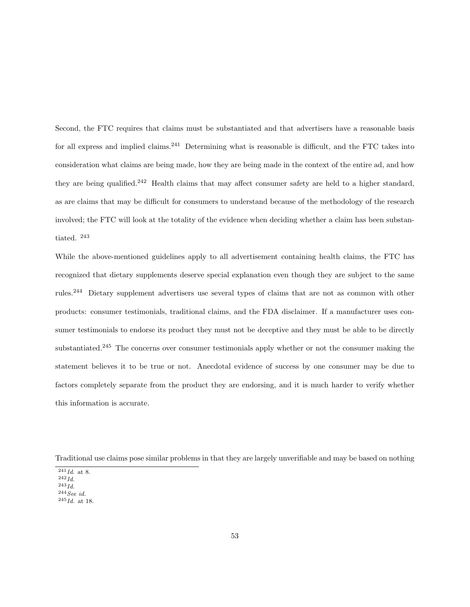Second, the FTC requires that claims must be substantiated and that advertisers have a reasonable basis for all express and implied claims.<sup>241</sup> Determining what is reasonable is difficult, and the FTC takes into consideration what claims are being made, how they are being made in the context of the entire ad, and how they are being qualified.<sup>242</sup> Health claims that may affect consumer safety are held to a higher standard, as are claims that may be difficult for consumers to understand because of the methodology of the research involved; the FTC will look at the totality of the evidence when deciding whether a claim has been substantiated. <sup>243</sup>

While the above-mentioned guidelines apply to all advertisement containing health claims, the FTC has recognized that dietary supplements deserve special explanation even though they are subject to the same rules.<sup>244</sup> Dietary supplement advertisers use several types of claims that are not as common with other products: consumer testimonials, traditional claims, and the FDA disclaimer. If a manufacturer uses consumer testimonials to endorse its product they must not be deceptive and they must be able to be directly substantiated.<sup>245</sup> The concerns over consumer testimonials apply whether or not the consumer making the statement believes it to be true or not. Anecdotal evidence of success by one consumer may be due to factors completely separate from the product they are endorsing, and it is much harder to verify whether this information is accurate.

Traditional use claims pose similar problems in that they are largely unverifiable and may be based on nothing

 $^{241}$ *Id.* at 8.  $^{242}$ Id.

 $^{243}Id.$ 

 $^{244}$  See id.

 $^{245}$ *Id.* at 18.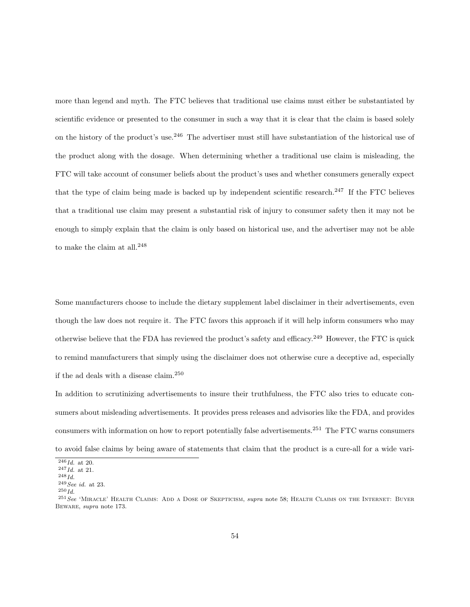more than legend and myth. The FTC believes that traditional use claims must either be substantiated by scientific evidence or presented to the consumer in such a way that it is clear that the claim is based solely on the history of the product's use.<sup>246</sup> The advertiser must still have substantiation of the historical use of the product along with the dosage. When determining whether a traditional use claim is misleading, the FTC will take account of consumer beliefs about the product's uses and whether consumers generally expect that the type of claim being made is backed up by independent scientific research.<sup>247</sup> If the FTC believes that a traditional use claim may present a substantial risk of injury to consumer safety then it may not be enough to simply explain that the claim is only based on historical use, and the advertiser may not be able to make the claim at all.<sup>248</sup>

Some manufacturers choose to include the dietary supplement label disclaimer in their advertisements, even though the law does not require it. The FTC favors this approach if it will help inform consumers who may otherwise believe that the FDA has reviewed the product's safety and efficacy.<sup>249</sup> However, the FTC is quick to remind manufacturers that simply using the disclaimer does not otherwise cure a deceptive ad, especially if the ad deals with a disease claim.<sup>250</sup>

In addition to scrutinizing advertisements to insure their truthfulness, the FTC also tries to educate consumers about misleading advertisements. It provides press releases and advisories like the FDA, and provides consumers with information on how to report potentially false advertisements.<sup>251</sup> The FTC warns consumers to avoid false claims by being aware of statements that claim that the product is a cure-all for a wide vari-

 $^{246}$ *Id.* at 20.

 $^{247}Id.$  at 21.

 $_{\rm ^{248}Id.}$ 

 $^{249}See$   $id.\,$  at 23.  $^{250}\mathit{Id}.$ 

 $^{251}$  See 'MIRACLE' HEALTH CLAIMS: ADD A DOSE OF SKEPTICISM, supra note 58; HEALTH CLAIMS ON THE INTERNET: BUYER BEWARE, supra note 173.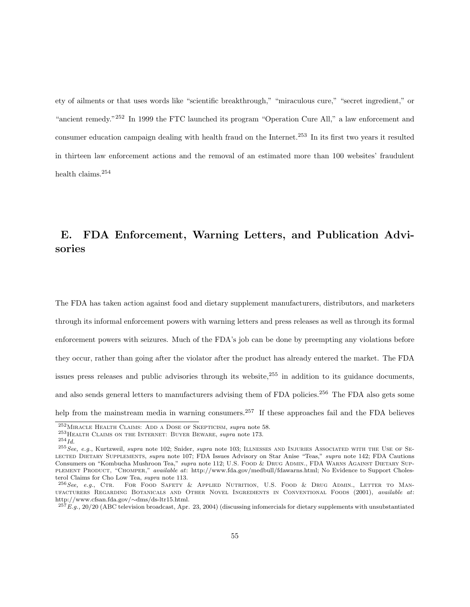ety of ailments or that uses words like "scientific breakthrough," "miraculous cure," "secret ingredient," or "ancient remedy."<sup>252</sup> In 1999 the FTC launched its program "Operation Cure All," a law enforcement and consumer education campaign dealing with health fraud on the Internet.<sup>253</sup> In its first two years it resulted in thirteen law enforcement actions and the removal of an estimated more than 100 websites' fraudulent health claims.<sup>254</sup>

# E. FDA Enforcement, Warning Letters, and Publication Advisories

The FDA has taken action against food and dietary supplement manufacturers, distributors, and marketers through its informal enforcement powers with warning letters and press releases as well as through its formal enforcement powers with seizures. Much of the FDA's job can be done by preempting any violations before they occur, rather than going after the violator after the product has already entered the market. The FDA issues press releases and public advisories through its website,<sup>255</sup> in addition to its guidance documents, and also sends general letters to manufacturers advising them of FDA policies.<sup>256</sup> The FDA also gets some help from the mainstream media in warning consumers.<sup>257</sup> If these approaches fail and the FDA believes

<sup>252</sup>Miracle Health Claims: Add a Dose of Skepticism, supra note 58.

 $^{253}\rm{HeatrH}$  CLAIMS ON THE INTERNET: BUYER BEWARE,  $supra$  note 173.

 $^{254}$  Id.

 $^{255}$ See, e.g., Kurtzweil, supra note 102; Snider, supra note 103; ILLNESSES AND INJURIES ASSOCIATED WITH THE USE OF SElected Dietary Supplements, supra note 107; FDA Issues Advisory on Star Anise "Teas," supra note 142; FDA Cautions Consumers on "Kombucha Mushroon Tea," supra note 112; U.S. FOOD & DRUG ADMIN., FDA WARNS AGAINST DIETARY SUPplement Product, "Chomper," available at: http://www.fda.gov/medbull/fdawarns.html; No Evidence to Support Cholesterol Claims for Cho Low Tea, supra note 113.

<sup>&</sup>lt;sup>256</sup>See, e.g., CTR. FOR FOOD SAFETY & APPLIED NUTRITION, U.S. FOOD & DRUG ADMIN., LETTER TO MANufacturers Regarding Botanicals and Other Novel Ingredients in Conventional Foods (2001), available at: http://www.cfsan.fda.gov/∼dms/ds-ltr15.html.

 $^{257}E_g$ , 20/20 (ABC television broadcast, Apr. 23, 2004) (discussing infomercials for dietary supplements with unsubstantiated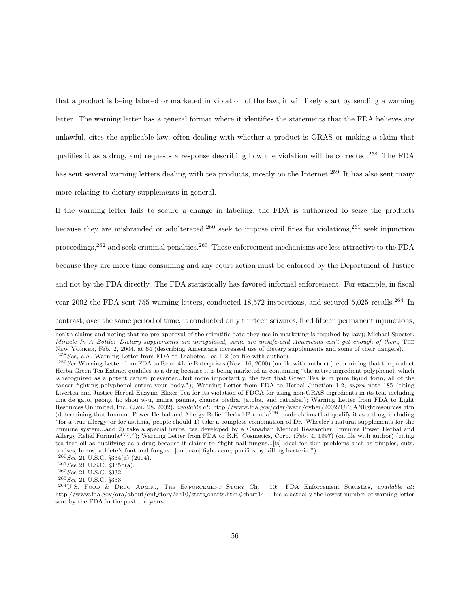that a product is being labeled or marketed in violation of the law, it will likely start by sending a warning letter. The warning letter has a general format where it identifies the statements that the FDA believes are unlawful, cites the applicable law, often dealing with whether a product is GRAS or making a claim that qualifies it as a drug, and requests a response describing how the violation will be corrected.<sup>258</sup> The FDA has sent several warning letters dealing with tea products, mostly on the Internet.<sup>259</sup> It has also sent many more relating to dietary supplements in general.

If the warning letter fails to secure a change in labeling, the FDA is authorized to seize the products because they are misbranded or adulterated,<sup>260</sup> seek to impose civil fines for violations,<sup>261</sup> seek injunction proceedings,<sup>262</sup> and seek criminal penalties.<sup>263</sup> These enforcement mechanisms are less attractive to the FDA because they are more time consuming and any court action must be enforced by the Department of Justice and not by the FDA directly. The FDA statistically has favored informal enforcement. For example, in fiscal year 2002 the FDA sent 755 warning letters, conducted 18,572 inspections, and secured 5,025 recalls.<sup>264</sup> In contrast, over the same period of time, it conducted only thirteen seizures, filed fifteen permanent injunctions,

health claims and noting that no pre-approval of the scientific data they use in marketing is required by law); Michael Specter, Miracle In A Bottle: Dietary supplements are unregulated, some are unsafe-and Americans can't get enough of them, The New Yorker, Feb. 2, 2004, at 64 (describing Americans increased use of dietary supplements and some of their dangers). <sup>258</sup> See, e.g., Warning Letter from FDA to Diabetes Tea 1-2 (on file with author).

 $^{259}See$  Warning Letter from FDA to Reach4Life Enterprises (Nov. 16, 2000) (on file with author) (determining that the product Herba Green Tea Extract qualifies as a drug because it is being marketed as containing "the active ingredient polyphenol, which is recognized as a potent cancer preventer...but more importantly, the fact that Green Tea is in pure liquid form, all of the cancer fighting polyphenol enters your body."); Warning Letter from FDA to Herbal Junction 1-2, supra note 185 (citing Livertea and Justice Herbal Enzyme Elixer Tea for its violation of FDCA for using non-GRAS ingredients in its tea, including una de gato, peony, ho shou w-u, muira pauma, chanca piedra, jatoba, and catuaba.); Warning Letter from FDA to Light Resources Unlimited, Inc. (Jan. 28, 2002), available at: http://www.fda.gov/cder/warn/cyber/2002/CFSANlightresources.htm (determining that Immune Power Herbal and Allergy Relief Herbal Formula<sup>TM</sup> made claims that qualify it as a drug, including (determining that Immune Power Herbal and Allergy Relief Herbal Formula<sup>TM</sup> made claims that qua "for a true allergy, or for asthma, people should 1) take a complete combination of Dr. Wheeler's natural supplements for the immune system...and 2) take a special herbal tea developed by a Canadian Medical Researcher, Immune Power Herbal and Allergy Relief Formula<sup>TM</sup>."); Warning Letter from FDA to R.H. Cosmetics, Corp. (Feb. 4, 1997) (on file with author) (citing tea tree oil as qualifying as a drug because it claims to "fight nail fungus...[is] ideal for skin problems such as pimples, cuts, bruises, burns, athlete's foot and fungus...[and can] fight acne, purifies by killing bacteria.").

 $^{260}See$  21 U.S.C.  $\S 334 {\rm (a)}$  (2004).

 $^{261}See$  21 U.S.C.  $\S 335\mathrm{b}(\mathrm{a}).$ 

 $^{262}See$  21 U.S.C.  $\S 332.$  $^{263}$  See 21 U.S.C. §333.

<sup>264</sup>U.S. Food & Drug Admin., The Enforcement Story Ch. 10: FDA Enforcement Statistics, available at: http://www.fda.gov/ora/about/enf story/ch10/stats charts.htm#chart14. This is actually the lowest number of warning letter sent by the FDA in the past ten years.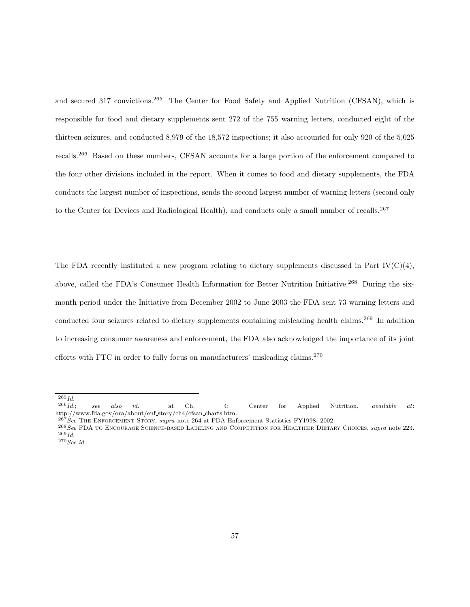and secured 317 convictions.<sup>265</sup> The Center for Food Safety and Applied Nutrition (CFSAN), which is responsible for food and dietary supplements sent 272 of the 755 warning letters, conducted eight of the thirteen seizures, and conducted 8,979 of the 18,572 inspections; it also accounted for only 920 of the 5,025 recalls.<sup>266</sup> Based on these numbers, CFSAN accounts for a large portion of the enforcement compared to the four other divisions included in the report. When it comes to food and dietary supplements, the FDA conducts the largest number of inspections, sends the second largest number of warning letters (second only to the Center for Devices and Radiological Health), and conducts only a small number of recalls.<sup>267</sup>

The FDA recently instituted a new program relating to dietary supplements discussed in Part  $IV(C)(4)$ , above, called the FDA's Consumer Health Information for Better Nutrition Initiative.<sup>268</sup> During the sixmonth period under the Initiative from December 2002 to June 2003 the FDA sent 73 warning letters and conducted four seizures related to dietary supplements containing misleading health claims.<sup>269</sup> In addition to increasing consumer awareness and enforcement, the FDA also acknowledged the importance of its joint efforts with FTC in order to fully focus on manufacturers' misleading claims.<sup>270</sup>

 $\frac{265}{266}$ *Id.*:

 $^{266}Id$ ; see also id. at Ch. 4: Center for Applied Nutrition, available at: http://www.fda.gov/ora/about/enf story/ch4/cfsan charts.htm.

See THE ENFORCEMENT STORY, supra note 264 at FDA Enforcement Statistics FY1998- 2002.

 $^{268}See$  FDA to ENCOURAGE SCIENCE-BASED LABELING AND COMPETITION FOR HEALTHIER DIETARY CHOICES, supra note 223.  $^{269}Id.$ <sup>270</sup>See id.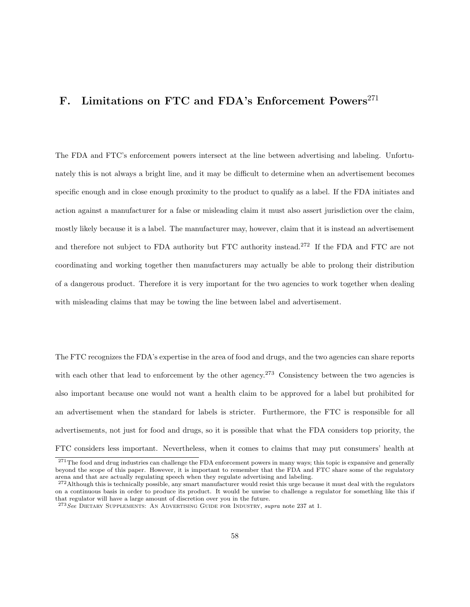## F. Limitations on FTC and FDA's Enforcement Powers<sup>271</sup>

The FDA and FTC's enforcement powers intersect at the line between advertising and labeling. Unfortunately this is not always a bright line, and it may be difficult to determine when an advertisement becomes specific enough and in close enough proximity to the product to qualify as a label. If the FDA initiates and action against a manufacturer for a false or misleading claim it must also assert jurisdiction over the claim, mostly likely because it is a label. The manufacturer may, however, claim that it is instead an advertisement and therefore not subject to FDA authority but FTC authority instead.<sup>272</sup> If the FDA and FTC are not coordinating and working together then manufacturers may actually be able to prolong their distribution of a dangerous product. Therefore it is very important for the two agencies to work together when dealing with misleading claims that may be towing the line between label and advertisement.

The FTC recognizes the FDA's expertise in the area of food and drugs, and the two agencies can share reports with each other that lead to enforcement by the other agency.<sup>273</sup> Consistency between the two agencies is also important because one would not want a health claim to be approved for a label but prohibited for an advertisement when the standard for labels is stricter. Furthermore, the FTC is responsible for all advertisements, not just for food and drugs, so it is possible that what the FDA considers top priority, the FTC considers less important. Nevertheless, when it comes to claims that may put consumers' health at

<sup>&</sup>lt;sup>271</sup>The food and drug industries can challenge the FDA enforcement powers in many ways; this topic is expansive and generally beyond the scope of this paper. However, it is important to remember that the FDA and FTC share some of the regulatory arena and that are actually regulating speech when they regulate advertising and labeling.

<sup>&</sup>lt;sup>272</sup>Although this is technically possible, any smart manufacturer would resist this urge because it must deal with the regulators on a continuous basis in order to produce its product. It would be unwise to challenge a regulator for something like this if that regulator will have a large amount of discretion over you in the future.

<sup>273</sup>See Dietary Supplements: An Advertising Guide for Industry, supra note 237 at 1.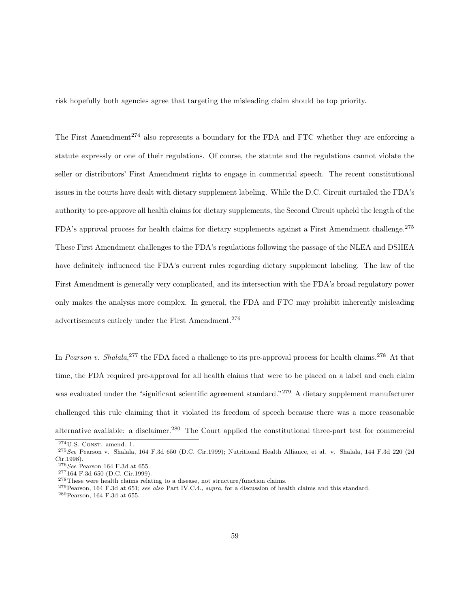risk hopefully both agencies agree that targeting the misleading claim should be top priority.

The First Amendment<sup>274</sup> also represents a boundary for the FDA and FTC whether they are enforcing a statute expressly or one of their regulations. Of course, the statute and the regulations cannot violate the seller or distributors' First Amendment rights to engage in commercial speech. The recent constitutional issues in the courts have dealt with dietary supplement labeling. While the D.C. Circuit curtailed the FDA's authority to pre-approve all health claims for dietary supplements, the Second Circuit upheld the length of the FDA's approval process for health claims for dietary supplements against a First Amendment challenge.<sup>275</sup> These First Amendment challenges to the FDA's regulations following the passage of the NLEA and DSHEA have definitely influenced the FDA's current rules regarding dietary supplement labeling. The law of the First Amendment is generally very complicated, and its intersection with the FDA's broad regulatory power only makes the analysis more complex. In general, the FDA and FTC may prohibit inherently misleading advertisements entirely under the First Amendment.<sup>276</sup>

In Pearson v. Shalala,<sup>277</sup> the FDA faced a challenge to its pre-approval process for health claims.<sup>278</sup> At that time, the FDA required pre-approval for all health claims that were to be placed on a label and each claim was evaluated under the "significant scientific agreement standard."<sup>279</sup> A dietary supplement manufacturer challenged this rule claiming that it violated its freedom of speech because there was a more reasonable alternative available: a disclaimer.<sup>280</sup> The Court applied the constitutional three-part test for commercial

 $274$ U.S. CONST. amend. 1.

<sup>275</sup>See Pearson v. Shalala, 164 F.3d 650 (D.C. Cir.1999); Nutritional Health Alliance, et al. v. Shalala, 144 F.3d 220 (2d Cir.1998).

 $276$  See Pearson 164 F.3d at 655.

<sup>277</sup>164 F.3d 650 (D.C. Cir.1999).

<sup>278</sup>These were health claims relating to a disease, not structure/function claims.

<sup>&</sup>lt;sup>279</sup>Pearson, 164 F.3d at 651; see also Part IV.C.4., supra, for a discussion of health claims and this standard.

<sup>280</sup>Pearson, 164 F.3d at 655.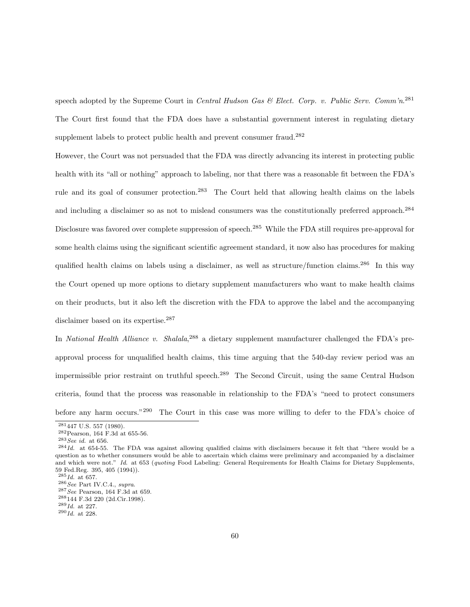speech adopted by the Supreme Court in Central Hudson Gas & Elect. Corp. v. Public Serv. Comm'n.<sup>281</sup> The Court first found that the FDA does have a substantial government interest in regulating dietary supplement labels to protect public health and prevent consumer fraud.<sup>282</sup>

However, the Court was not persuaded that the FDA was directly advancing its interest in protecting public health with its "all or nothing" approach to labeling, nor that there was a reasonable fit between the FDA's rule and its goal of consumer protection.<sup>283</sup> The Court held that allowing health claims on the labels and including a disclaimer so as not to mislead consumers was the constitutionally preferred approach.<sup>284</sup> Disclosure was favored over complete suppression of speech.<sup>285</sup> While the FDA still requires pre-approval for some health claims using the significant scientific agreement standard, it now also has procedures for making qualified health claims on labels using a disclaimer, as well as structure/function claims.<sup>286</sup> In this way the Court opened up more options to dietary supplement manufacturers who want to make health claims on their products, but it also left the discretion with the FDA to approve the label and the accompanying disclaimer based on its expertise.<sup>287</sup>

In National Health Alliance v. Shalala,<sup>288</sup> a dietary supplement manufacturer challenged the FDA's preapproval process for unqualified health claims, this time arguing that the 540-day review period was an impermissible prior restraint on truthful speech.<sup>289</sup> The Second Circuit, using the same Central Hudson criteria, found that the process was reasonable in relationship to the FDA's "need to protect consumers before any harm occurs."<sup>290</sup> The Court in this case was more willing to defer to the FDA's choice of

<sup>281</sup>447 U.S. 557 (1980).

<sup>282</sup>Pearson, 164 F.3d at 655-56.

 $^{283}See\ id.$  at 656.

 $^{284}$ Id. at 654-55. The FDA was against allowing qualified claims with disclaimers because it felt that "there would be a question as to whether consumers would be able to ascertain which claims were preliminary and accompanied by a disclaimer and which were not." Id. at 653 (quoting Food Labeling: General Requirements for Health Claims for Dietary Supplements, 59 Fed.Reg. 395, 405 (1994)).

 $^{285} \mathit{Id.}$  at 657.

 $286$  See Part IV.C.4., supra.

<sup>287</sup>See Pearson, 164 F.3d at 659.

<sup>288</sup>144 F.3d 220 (2d.Cir.1998).

 $^{289}$ *Id.* at 227.

 $^{290} \mathit{Id.}$  at 228.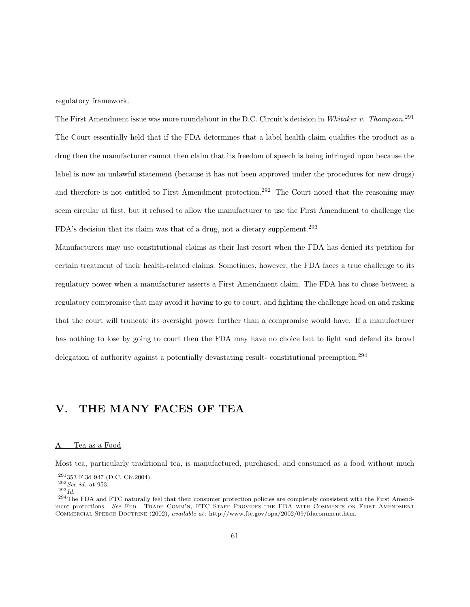regulatory framework.

The First Amendment issue was more roundabout in the D.C. Circuit's decision in Whitaker v. Thompson.<sup>291</sup> The Court essentially held that if the FDA determines that a label health claim qualifies the product as a drug then the manufacturer cannot then claim that its freedom of speech is being infringed upon because the label is now an unlawful statement (because it has not been approved under the procedures for new drugs) and therefore is not entitled to First Amendment protection.<sup>292</sup> The Court noted that the reasoning may seem circular at first, but it refused to allow the manufacturer to use the First Amendment to challenge the FDA's decision that its claim was that of a drug, not a dietary supplement.<sup>293</sup>

Manufacturers may use constitutional claims as their last resort when the FDA has denied its petition for certain treatment of their health-related claims. Sometimes, however, the FDA faces a true challenge to its regulatory power when a manufacturer asserts a First Amendment claim. The FDA has to chose between a regulatory compromise that may avoid it having to go to court, and fighting the challenge head on and risking that the court will truncate its oversight power further than a compromise would have. If a manufacturer has nothing to lose by going to court then the FDA may have no choice but to fight and defend its broad delegation of authority against a potentially devastating result- constitutional preemption.<sup>294</sup>

## V. THE MANY FACES OF TEA

#### A. Tea as a Food

Most tea, particularly traditional tea, is manufactured, purchased, and consumed as a food without much

<sup>291</sup>353 F.3d 947 (D.C. Cir.2004).

 $292$  See id. at 953.

 $^{293}\bar{Id}.$ 

<sup>&</sup>lt;sup>294</sup>The FDA and FTC naturally feel that their consumer protection policies are completely consistent with the First Amendment protections. See FED. TRADE COMM'N, FTC STAFF PROVIDES THE FDA WITH COMMENTS ON FIRST AMENDMENT Commercial Speech Doctrine (2002), available at: http://www.ftc.gov/opa/2002/09/fdacomment.htm.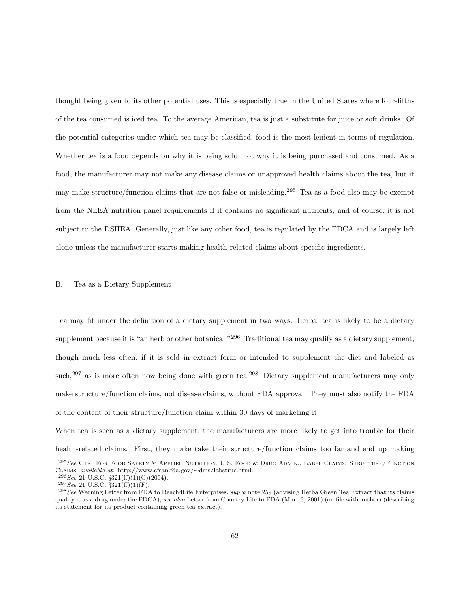thought being given to its other potential uses. This is especially true in the United States where four-fifths of the tea consumed is iced tea. To the average American, tea is just a substitute for juice or soft drinks. Of the potential categories under which tea may be classified, food is the most lenient in terms of regulation. Whether tea is a food depends on why it is being sold, not why it is being purchased and consumed. As a food, the manufacturer may not make any disease claims or unapproved health claims about the tea, but it may make structure/function claims that are not false or misleading.<sup>295</sup> Tea as a food also may be exempt from the NLEA nutrition panel requirements if it contains no significant nutrients, and of course, it is not subject to the DSHEA. Generally, just like any other food, tea is regulated by the FDCA and is largely left alone unless the manufacturer starts making health-related claims about specific ingredients.

### B. Tea as a Dietary Supplement

Tea may fit under the definition of a dietary supplement in two ways. Herbal tea is likely to be a dietary supplement because it is "an herb or other botanical."<sup>296</sup> Traditional tea may qualify as a dietary supplement, though much less often, if it is sold in extract form or intended to supplement the diet and labeled as such,<sup>297</sup> as is more often now being done with green tea.<sup>298</sup> Dietary supplement manufacturers may only make structure/function claims, not disease claims, without FDA approval. They must also notify the FDA of the content of their structure/function claim within 30 days of marketing it.

When tea is seen as a dietary supplement, the manufacturers are more likely to get into trouble for their health-related claims. First, they make take their structure/function claims too far and end up making

 $295\,See$  Ctr. For Food Safety & Applied Nutrition, U.S. Food & Drug Admin., Label Claims: Structure/Function Claims, available at: http://www.cfsan.fda.gov/∼dms/labstruc.html.

 $^{296}$  See 21 U.S.C. §321(ff)(1)(C)(2004).

 $297 \text{ See } 21 \text{ U.S.C. } \S 321(\text{ff})(1)(\text{F}).$ 

<sup>&</sup>lt;sup>298</sup> See Warning Letter from FDA to Reach4Life Enterprises, *supra* note 259 (advising Herba Green Tea Extract that its claims qualify it as a drug under the FDCA); see also Letter from Country Life to FDA (Mar. 3, 2001) (on file with author) (describing its statement for its product containing green tea extract).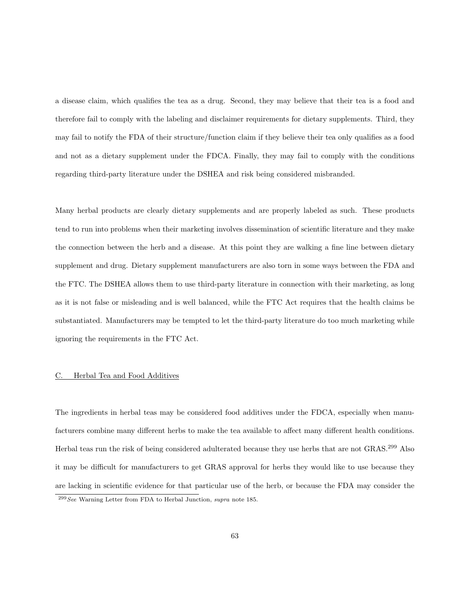a disease claim, which qualifies the tea as a drug. Second, they may believe that their tea is a food and therefore fail to comply with the labeling and disclaimer requirements for dietary supplements. Third, they may fail to notify the FDA of their structure/function claim if they believe their tea only qualifies as a food and not as a dietary supplement under the FDCA. Finally, they may fail to comply with the conditions regarding third-party literature under the DSHEA and risk being considered misbranded.

Many herbal products are clearly dietary supplements and are properly labeled as such. These products tend to run into problems when their marketing involves dissemination of scientific literature and they make the connection between the herb and a disease. At this point they are walking a fine line between dietary supplement and drug. Dietary supplement manufacturers are also torn in some ways between the FDA and the FTC. The DSHEA allows them to use third-party literature in connection with their marketing, as long as it is not false or misleading and is well balanced, while the FTC Act requires that the health claims be substantiated. Manufacturers may be tempted to let the third-party literature do too much marketing while ignoring the requirements in the FTC Act.

### C. Herbal Tea and Food Additives

The ingredients in herbal teas may be considered food additives under the FDCA, especially when manufacturers combine many different herbs to make the tea available to affect many different health conditions. Herbal teas run the risk of being considered adulterated because they use herbs that are not GRAS.<sup>299</sup> Also it may be difficult for manufacturers to get GRAS approval for herbs they would like to use because they are lacking in scientific evidence for that particular use of the herb, or because the FDA may consider the

 $^{299}See$  Warning Letter from FDA to Herbal Junction,  $supra$  note 185.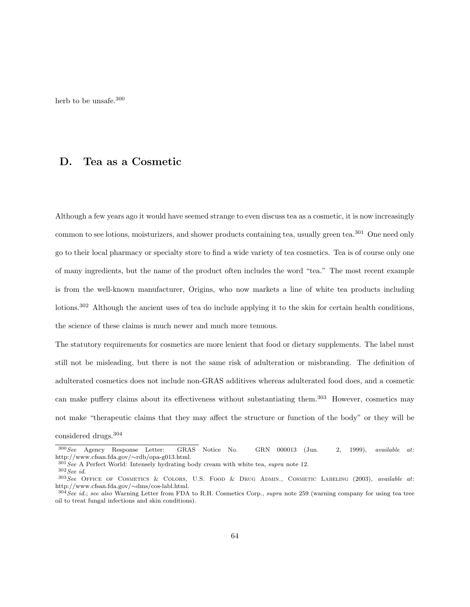herb to be unsafe.<sup>300</sup>

## D. Tea as a Cosmetic

Although a few years ago it would have seemed strange to even discuss tea as a cosmetic, it is now increasingly common to see lotions, moisturizers, and shower products containing tea, usually green tea.<sup>301</sup> One need only go to their local pharmacy or specialty store to find a wide variety of tea cosmetics. Tea is of course only one of many ingredients, but the name of the product often includes the word "tea." The most recent example is from the well-known manufacturer, Origins, who now markets a line of white tea products including lotions.<sup>302</sup> Although the ancient uses of tea do include applying it to the skin for certain health conditions, the science of these claims is much newer and much more tenuous.

The statutory requirements for cosmetics are more lenient that food or dietary supplements. The label must still not be misleading, but there is not the same risk of adulteration or misbranding. The definition of adulterated cosmetics does not include non-GRAS additives whereas adulterated food does, and a cosmetic can make puffery claims about its effectiveness without substantiating them.<sup>303</sup> However, cosmetics may not make "therapeutic claims that they may affect the structure or function of the body" or they will be considered drugs.<sup>304</sup>

<sup>300</sup>See Agency Response Letter: GRAS Notice No. GRN 000013 (Jun. 2, 1999), available at: http://www.cfsan.fda.gov/∼rdb/opa-g013.html.

 $301$  See A Perfect World: Intensely hydrating body cream with white tea, supra note 12.  $302\,See\ id.$ 

<sup>303</sup>See Office of Cosmetics & Colors, U.S. Food & Drug Admin., Cosmetic Labeling (2003), available at: http://www.cfsan.fda.gov/∼dms/cos-labl.html.

 $304 \text{ Sec } id$ ; see also Warning Letter from FDA to R.H. Cosmetics Corp., supra note 259 (warning company for using tea tree oil to treat fungal infections and skin conditions).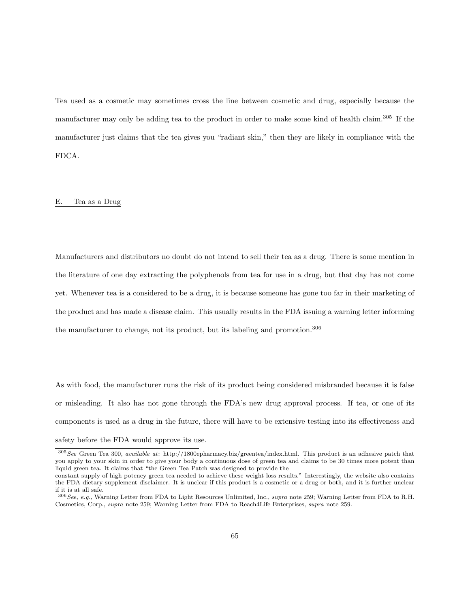Tea used as a cosmetic may sometimes cross the line between cosmetic and drug, especially because the manufacturer may only be adding tea to the product in order to make some kind of health claim.<sup>305</sup> If the manufacturer just claims that the tea gives you "radiant skin," then they are likely in compliance with the FDCA.

### Tea as a Drug

Manufacturers and distributors no doubt do not intend to sell their tea as a drug. There is some mention in the literature of one day extracting the polyphenols from tea for use in a drug, but that day has not come yet. Whenever tea is a considered to be a drug, it is because someone has gone too far in their marketing of the product and has made a disease claim. This usually results in the FDA issuing a warning letter informing the manufacturer to change, not its product, but its labeling and promotion.<sup>306</sup>

As with food, the manufacturer runs the risk of its product being considered misbranded because it is false or misleading. It also has not gone through the FDA's new drug approval process. If tea, or one of its components is used as a drug in the future, there will have to be extensive testing into its effectiveness and safety before the FDA would approve its use.

 $305$  See Green Tea 300, available at: http://1800epharmacy.biz/greentea/index.html. This product is an adhesive patch that you apply to your skin in order to give your body a continuous dose of green tea and claims to be 30 times more potent than liquid green tea. It claims that "the Green Tea Patch was designed to provide the

constant supply of high potency green tea needed to achieve these weight loss results." Interestingly, the website also contains the FDA dietary supplement disclaimer. It is unclear if this product is a cosmetic or a drug or both, and it is further unclear if it is at all safe.

<sup>306</sup>See, e.g., Warning Letter from FDA to Light Resources Unlimited, Inc., supra note 259; Warning Letter from FDA to R.H. Cosmetics, Corp., supra note 259; Warning Letter from FDA to Reach4Life Enterprises, supra note 259.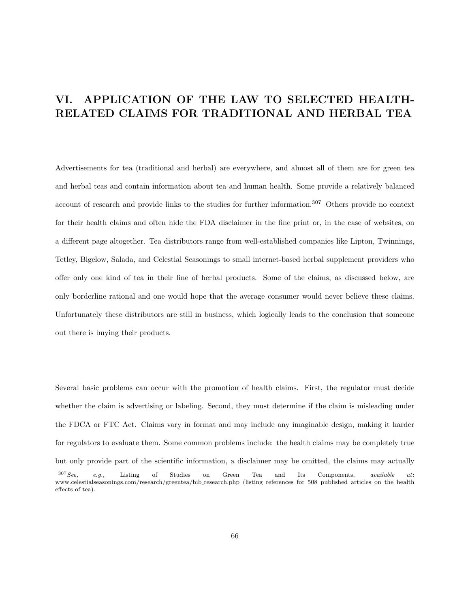# VI. APPLICATION OF THE LAW TO SELECTED HEALTH-RELATED CLAIMS FOR TRADITIONAL AND HERBAL TEA

Advertisements for tea (traditional and herbal) are everywhere, and almost all of them are for green tea and herbal teas and contain information about tea and human health. Some provide a relatively balanced account of research and provide links to the studies for further information.<sup>307</sup> Others provide no context for their health claims and often hide the FDA disclaimer in the fine print or, in the case of websites, on a different page altogether. Tea distributors range from well-established companies like Lipton, Twinnings, Tetley, Bigelow, Salada, and Celestial Seasonings to small internet-based herbal supplement providers who offer only one kind of tea in their line of herbal products. Some of the claims, as discussed below, are only borderline rational and one would hope that the average consumer would never believe these claims. Unfortunately these distributors are still in business, which logically leads to the conclusion that someone out there is buying their products.

Several basic problems can occur with the promotion of health claims. First, the regulator must decide whether the claim is advertising or labeling. Second, they must determine if the claim is misleading under the FDCA or FTC Act. Claims vary in format and may include any imaginable design, making it harder for regulators to evaluate them. Some common problems include: the health claims may be completely true but only provide part of the scientific information, a disclaimer may be omitted, the claims may actually

 $307 \text{ See}$ ,  $e.g.,$  Listing of Studies on Green Tea and Its Components, available at: www.celestialseasonings.com/research/greentea/bib research.php (listing references for 508 published articles on the health effects of tea).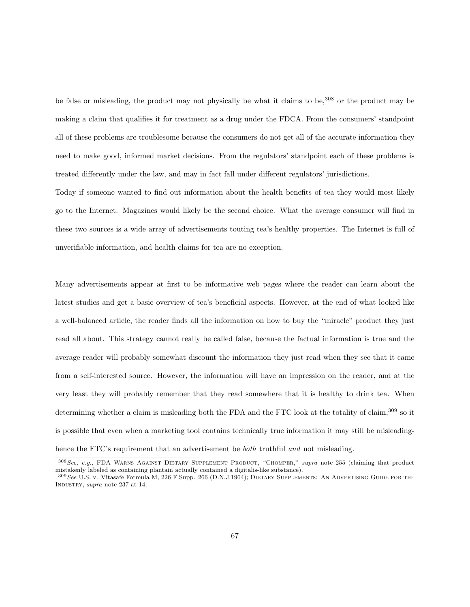be false or misleading, the product may not physically be what it claims to be,<sup>308</sup> or the product may be making a claim that qualifies it for treatment as a drug under the FDCA. From the consumers' standpoint all of these problems are troublesome because the consumers do not get all of the accurate information they need to make good, informed market decisions. From the regulators' standpoint each of these problems is treated differently under the law, and may in fact fall under different regulators' jurisdictions.

Today if someone wanted to find out information about the health benefits of tea they would most likely go to the Internet. Magazines would likely be the second choice. What the average consumer will find in these two sources is a wide array of advertisements touting tea's healthy properties. The Internet is full of unverifiable information, and health claims for tea are no exception.

Many advertisements appear at first to be informative web pages where the reader can learn about the latest studies and get a basic overview of tea's beneficial aspects. However, at the end of what looked like a well-balanced article, the reader finds all the information on how to buy the "miracle" product they just read all about. This strategy cannot really be called false, because the factual information is true and the average reader will probably somewhat discount the information they just read when they see that it came from a self-interested source. However, the information will have an impression on the reader, and at the very least they will probably remember that they read somewhere that it is healthy to drink tea. When determining whether a claim is misleading both the FDA and the FTC look at the totality of claim,<sup>309</sup> so it is possible that even when a marketing tool contains technically true information it may still be misleadinghence the FTC's requirement that an advertisement be *both* truthful and not misleading.

<sup>308</sup> See, e.g., FDA WARNS AGAINST DIETARY SUPPLEMENT PRODUCT, "CHOMPER," supra note 255 (claiming that product mistakenly labeled as containing plantain actually contained a digitalis-like substance).

<sup>309</sup>See U.S. v. Vitasafe Formula M, 226 F.Supp. 266 (D.N.J.1964); Dietary Supplements: An Advertising Guide for the Industry, supra note 237 at 14.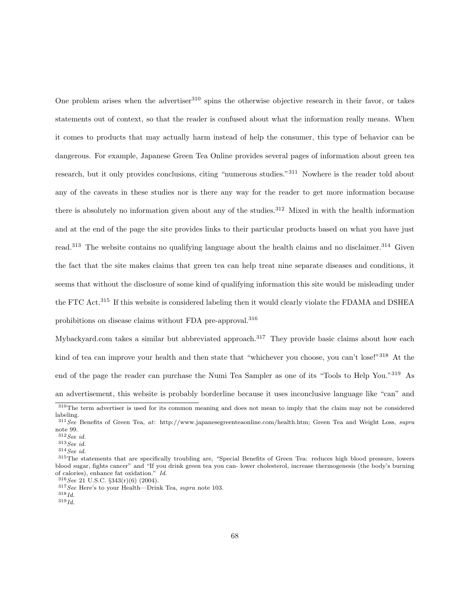One problem arises when the advertiser $310$  spins the otherwise objective research in their favor, or takes statements out of context, so that the reader is confused about what the information really means. When it comes to products that may actually harm instead of help the consumer, this type of behavior can be dangerous. For example, Japanese Green Tea Online provides several pages of information about green tea research, but it only provides conclusions, citing "numerous studies."<sup>311</sup> Nowhere is the reader told about any of the caveats in these studies nor is there any way for the reader to get more information because there is absolutely no information given about any of the studies.<sup>312</sup> Mixed in with the health information and at the end of the page the site provides links to their particular products based on what you have just read.<sup>313</sup> The website contains no qualifying language about the health claims and no disclaimer.<sup>314</sup> Given the fact that the site makes claims that green tea can help treat nine separate diseases and conditions, it seems that without the disclosure of some kind of qualifying information this site would be misleading under the FTC Act.<sup>315</sup> If this website is considered labeling then it would clearly violate the FDAMA and DSHEA prohibitions on disease claims without FDA pre-approval.<sup>316</sup>

Mybackyard.com takes a similar but abbreviated approach.<sup>317</sup> They provide basic claims about how each kind of tea can improve your health and then state that "whichever you choose, you can't lose!"<sup>318</sup> At the end of the page the reader can purchase the Numi Tea Sampler as one of its "Tools to Help You."<sup>319</sup> As an advertisement, this website is probably borderline because it uses inconclusive language like "can" and

<sup>310</sup>The term advertiser is used for its common meaning and does not mean to imply that the claim may not be considered labeling.

 $311\,See$  Benefits of Green Tea, at: http://www.japanesegreenteaonline.com/health.htm; Green Tea and Weight Loss, supra note 99.

<sup>312</sup>See id.

 $313$  See id.

 $^{314}See$ id.

<sup>315</sup>The statements that are specifically troubling are, "Special Benefits of Green Tea: reduces high blood pressure, lowers blood sugar, fights cancer" and "If you drink green tea you can- lower cholesterol, increase thermogenesis (the body's burning of calories), enhance fat oxidation." Id.

 $316$  See 21 U.S.C.  $343(r)(6)$  (2004).

 $317$  See Here's to your Health—Drink Tea, supra note 103.

 $318$   $Id.$ 

 $319$   $Id.$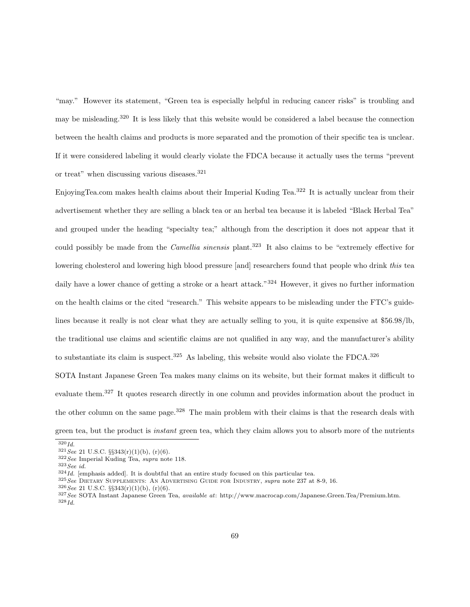"may." However its statement, "Green tea is especially helpful in reducing cancer risks" is troubling and may be misleading.<sup>320</sup> It is less likely that this website would be considered a label because the connection between the health claims and products is more separated and the promotion of their specific tea is unclear. If it were considered labeling it would clearly violate the FDCA because it actually uses the terms "prevent or treat" when discussing various diseases.<sup>321</sup>

EnjoyingTea.com makes health claims about their Imperial Kuding Tea.<sup>322</sup> It is actually unclear from their advertisement whether they are selling a black tea or an herbal tea because it is labeled "Black Herbal Tea" and grouped under the heading "specialty tea;" although from the description it does not appear that it could possibly be made from the *Camellia sinensis* plant.<sup>323</sup> It also claims to be "extremely effective for lowering cholesterol and lowering high blood pressure [and] researchers found that people who drink this tea daily have a lower chance of getting a stroke or a heart attack."<sup>324</sup> However, it gives no further information on the health claims or the cited "research." This website appears to be misleading under the FTC's guidelines because it really is not clear what they are actually selling to you, it is quite expensive at \$56.98/lb, the traditional use claims and scientific claims are not qualified in any way, and the manufacturer's ability to substantiate its claim is suspect.<sup>325</sup> As labeling, this website would also violate the FDCA.<sup>326</sup>

SOTA Instant Japanese Green Tea makes many claims on its website, but their format makes it difficult to evaluate them.<sup>327</sup> It quotes research directly in one column and provides information about the product in the other column on the same page.<sup>328</sup> The main problem with their claims is that the research deals with

 $326$  See 21 U.S.C.  $\S$  $343(r)(1)(b)$ ,  $(r)(6)$ .

green tea, but the product is *instant* green tea, which they claim allows you to absorb more of the nutrients

 $320$   $Id$ .

 $321$  See 21 U.S.C.  $\S$  $343(r)(1)(b)$ ,  $(r)(6)$ .

<sup>322</sup>See Imperial Kuding Tea, supra note 118.

<sup>323</sup>See id.

 $324$ Id. [emphasis added]. It is doubtful that an entire study focused on this particular tea.

 $325$  See DIETARY SUPPLEMENTS: AN ADVERTISING GUIDE FOR INDUSTRY, supra note 237 at 8-9, 16.

<sup>327</sup>See SOTA Instant Japanese Green Tea, available at: http://www.macrocap.com/Japanese.Green.Tea/Premium.htm.  $328$   $Id.$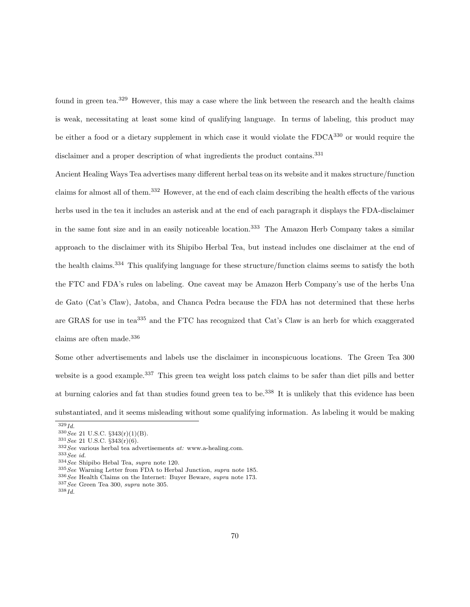found in green tea.<sup>329</sup> However, this may a case where the link between the research and the health claims is weak, necessitating at least some kind of qualifying language. In terms of labeling, this product may be either a food or a dietary supplement in which case it would violate the FDCA<sup>330</sup> or would require the disclaimer and a proper description of what ingredients the product contains.<sup>331</sup>

Ancient Healing Ways Tea advertises many different herbal teas on its website and it makes structure/function claims for almost all of them.<sup>332</sup> However, at the end of each claim describing the health effects of the various herbs used in the tea it includes an asterisk and at the end of each paragraph it displays the FDA-disclaimer in the same font size and in an easily noticeable location.<sup>333</sup> The Amazon Herb Company takes a similar approach to the disclaimer with its Shipibo Herbal Tea, but instead includes one disclaimer at the end of the health claims.<sup>334</sup> This qualifying language for these structure/function claims seems to satisfy the both the FTC and FDA's rules on labeling. One caveat may be Amazon Herb Company's use of the herbs Una de Gato (Cat's Claw), Jatoba, and Chanca Pedra because the FDA has not determined that these herbs are GRAS for use in tea<sup>335</sup> and the FTC has recognized that Cat's Claw is an herb for which exaggerated claims are often made.<sup>336</sup>

Some other advertisements and labels use the disclaimer in inconspicuous locations. The Green Tea 300 website is a good example.<sup>337</sup> This green tea weight loss patch claims to be safer than diet pills and better at burning calories and fat than studies found green tea to be.<sup>338</sup> It is unlikely that this evidence has been substantiated, and it seems misleading without some qualifying information. As labeling it would be making

 $\overline{329}$ Id.

 $330$  See 21 U.S.C.  $\S 343(r)(1)(B)$ .

 $331$  See 21 U.S.C.  $\S 343(r)(6)$ .

 $332 \, See$  various herbal tea advertisements at: www.a-healing.com.

<sup>333</sup>See id.

 $^{334}See$  Shipibo Hebal Tea, supra note 120.

 $335$  See Warning Letter from FDA to Herbal Junction, supra note 185.

 $336\,See$  Health Claims on the Internet: Buyer Beware, supra note 173.

 $337\,$ See Green Tea 300, supra note 305.

 $338 \, Id.$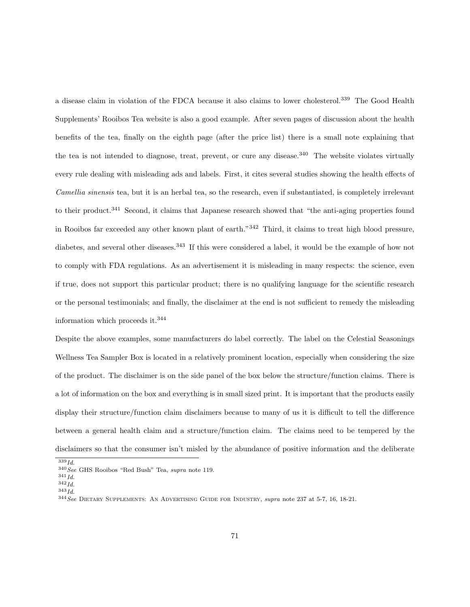a disease claim in violation of the FDCA because it also claims to lower cholesterol.<sup>339</sup> The Good Health Supplements' Rooibos Tea website is also a good example. After seven pages of discussion about the health benefits of the tea, finally on the eighth page (after the price list) there is a small note explaining that the tea is not intended to diagnose, treat, prevent, or cure any disease.<sup>340</sup> The website violates virtually every rule dealing with misleading ads and labels. First, it cites several studies showing the health effects of Camellia sinensis tea, but it is an herbal tea, so the research, even if substantiated, is completely irrelevant to their product.<sup>341</sup> Second, it claims that Japanese research showed that "the anti-aging properties found in Rooibos far exceeded any other known plant of earth."<sup>342</sup> Third, it claims to treat high blood pressure, diabetes, and several other diseases.<sup>343</sup> If this were considered a label, it would be the example of how not to comply with FDA regulations. As an advertisement it is misleading in many respects: the science, even if true, does not support this particular product; there is no qualifying language for the scientific research or the personal testimonials; and finally, the disclaimer at the end is not sufficient to remedy the misleading information which proceeds it.<sup>344</sup>

Despite the above examples, some manufacturers do label correctly. The label on the Celestial Seasonings Wellness Tea Sampler Box is located in a relatively prominent location, especially when considering the size of the product. The disclaimer is on the side panel of the box below the structure/function claims. There is a lot of information on the box and everything is in small sized print. It is important that the products easily display their structure/function claim disclaimers because to many of us it is difficult to tell the difference between a general health claim and a structure/function claim. The claims need to be tempered by the disclaimers so that the consumer isn't misled by the abundance of positive information and the deliberate

 $339Id$ 

 $340$  See GHS Rooibos "Red Bush" Tea, supra note 119.

 $341\overleftrightarrow{Id}$ .

 $342$  Id.

 $343$   $Id.$ 

<sup>344</sup>See Dietary Supplements: An Advertising Guide for Industry, supra note 237 at 5-7, 16, 18-21.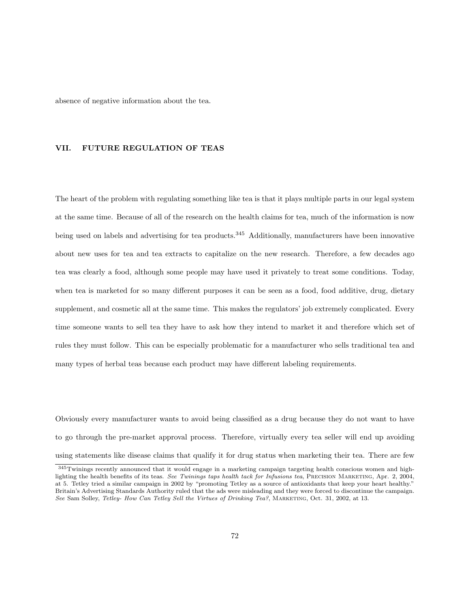absence of negative information about the tea.

## VII. FUTURE REGULATION OF TEAS

The heart of the problem with regulating something like tea is that it plays multiple parts in our legal system at the same time. Because of all of the research on the health claims for tea, much of the information is now being used on labels and advertising for tea products.<sup>345</sup> Additionally, manufacturers have been innovative about new uses for tea and tea extracts to capitalize on the new research. Therefore, a few decades ago tea was clearly a food, although some people may have used it privately to treat some conditions. Today, when tea is marketed for so many different purposes it can be seen as a food, food additive, drug, dietary supplement, and cosmetic all at the same time. This makes the regulators' job extremely complicated. Every time someone wants to sell tea they have to ask how they intend to market it and therefore which set of rules they must follow. This can be especially problematic for a manufacturer who sells traditional tea and many types of herbal teas because each product may have different labeling requirements.

Obviously every manufacturer wants to avoid being classified as a drug because they do not want to have to go through the pre-market approval process. Therefore, virtually every tea seller will end up avoiding using statements like disease claims that qualify it for drug status when marketing their tea. There are few

<sup>345</sup>Twinings recently announced that it would engage in a marketing campaign targeting health conscious women and highlighting the health benefits of its teas. See Twinings taps health tack for Infusions tea, PRECISION MARKETING, Apr. 2, 2004, at 5. Tetley tried a similar campaign in 2002 by "promoting Tetley as a source of antioxidants that keep your heart healthy." Britain's Advertising Standards Authority ruled that the ads were misleading and they were forced to discontinue the campaign. See Sam Solley, Tetley- How Can Tetley Sell the Virtues of Drinking Tea?, MARKETING, Oct. 31, 2002, at 13.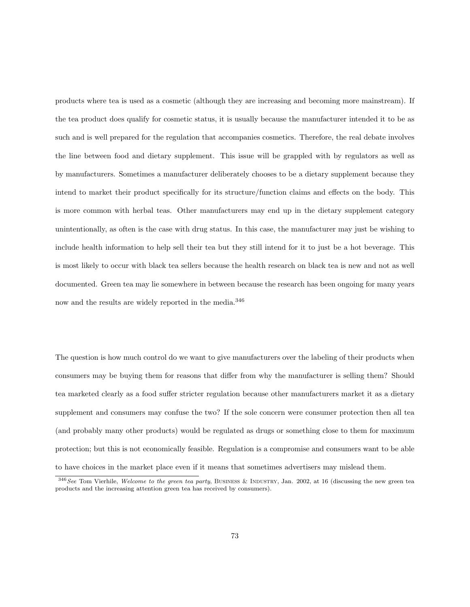products where tea is used as a cosmetic (although they are increasing and becoming more mainstream). If the tea product does qualify for cosmetic status, it is usually because the manufacturer intended it to be as such and is well prepared for the regulation that accompanies cosmetics. Therefore, the real debate involves the line between food and dietary supplement. This issue will be grappled with by regulators as well as by manufacturers. Sometimes a manufacturer deliberately chooses to be a dietary supplement because they intend to market their product specifically for its structure/function claims and effects on the body. This is more common with herbal teas. Other manufacturers may end up in the dietary supplement category unintentionally, as often is the case with drug status. In this case, the manufacturer may just be wishing to include health information to help sell their tea but they still intend for it to just be a hot beverage. This is most likely to occur with black tea sellers because the health research on black tea is new and not as well documented. Green tea may lie somewhere in between because the research has been ongoing for many years now and the results are widely reported in the media.<sup>346</sup>

The question is how much control do we want to give manufacturers over the labeling of their products when consumers may be buying them for reasons that differ from why the manufacturer is selling them? Should tea marketed clearly as a food suffer stricter regulation because other manufacturers market it as a dietary supplement and consumers may confuse the two? If the sole concern were consumer protection then all tea (and probably many other products) would be regulated as drugs or something close to them for maximum protection; but this is not economically feasible. Regulation is a compromise and consumers want to be able to have choices in the market place even if it means that sometimes advertisers may mislead them.

 $346\,i>346\,i>See$  Tom Vierhile, Welcome to the green tea party, BUSINESS & INDUSTRY, Jan. 2002, at 16 (discussing the new green tea products and the increasing attention green tea has received by consumers).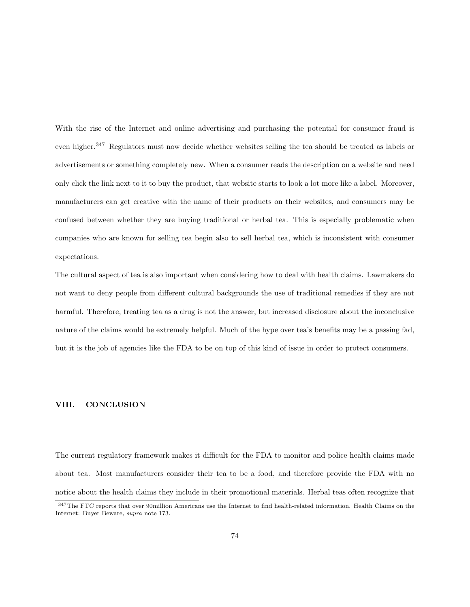With the rise of the Internet and online advertising and purchasing the potential for consumer fraud is even higher.<sup>347</sup> Regulators must now decide whether websites selling the tea should be treated as labels or advertisements or something completely new. When a consumer reads the description on a website and need only click the link next to it to buy the product, that website starts to look a lot more like a label. Moreover, manufacturers can get creative with the name of their products on their websites, and consumers may be confused between whether they are buying traditional or herbal tea. This is especially problematic when companies who are known for selling tea begin also to sell herbal tea, which is inconsistent with consumer expectations.

The cultural aspect of tea is also important when considering how to deal with health claims. Lawmakers do not want to deny people from different cultural backgrounds the use of traditional remedies if they are not harmful. Therefore, treating tea as a drug is not the answer, but increased disclosure about the inconclusive nature of the claims would be extremely helpful. Much of the hype over tea's benefits may be a passing fad, but it is the job of agencies like the FDA to be on top of this kind of issue in order to protect consumers.

## VIII. CONCLUSION

The current regulatory framework makes it difficult for the FDA to monitor and police health claims made about tea. Most manufacturers consider their tea to be a food, and therefore provide the FDA with no notice about the health claims they include in their promotional materials. Herbal teas often recognize that

<sup>&</sup>lt;sup>347</sup>The FTC reports that over 90million Americans use the Internet to find health-related information. Health Claims on the Internet: Buyer Beware, supra note 173.